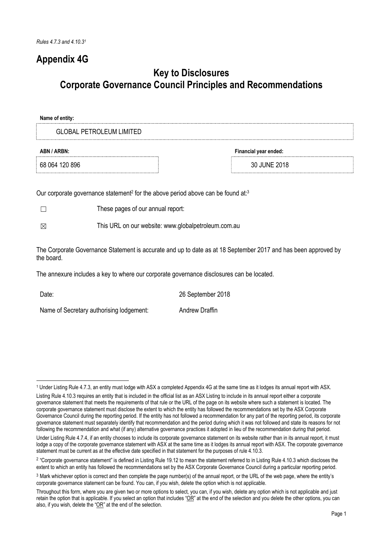# Appendix 4G

# Key to Disclosures Corporate Governance Council Principles and Recommendations

| Name of entity:                      |              |  |
|--------------------------------------|--------------|--|
| <b>GLOBAL PETROLEUM LIMITED</b>      |              |  |
| Financial year ended:<br>ABN / ARBN: |              |  |
| 68 064 120 896                       | 30 JUNE 2018 |  |
|                                      |              |  |

Our corporate governance statement<sup>2</sup> for the above period above can be found at:<sup>3</sup>

☐ These pages of our annual report:

☒ This URL on our website: www.globalpetroleum.com.au

The Corporate Governance Statement is accurate and up to date as at 18 September 2017 and has been approved by the board.

The annexure includes a key to where our corporate governance disclosures can be located.

 $\overline{a}$ 

Date: 2018

Name of Secretary authorising lodgement: Andrew Draffin

<sup>1</sup> Under Listing Rule 4.7.3, an entity must lodge with ASX a completed Appendix 4G at the same time as it lodges its annual report with ASX.

Listing Rule 4.10.3 requires an entity that is included in the official list as an ASX Listing to include in its annual report either a corporate governance statement that meets the requirements of that rule or the URL of the page on its website where such a statement is located. The corporate governance statement must disclose the extent to which the entity has followed the recommendations set by the ASX Corporate Governance Council during the reporting period. If the entity has not followed a recommendation for any part of the reporting period, its corporate governance statement must separately identify that recommendation and the period during which it was not followed and state its reasons for not following the recommendation and what (if any) alternative governance practices it adopted in lieu of the recommendation during that period.

Under Listing Rule 4.7.4, if an entity chooses to include its corporate governance statement on its website rather than in its annual report, it must lodge a copy of the corporate governance statement with ASX at the same time as it lodges its annual report with ASX. The corporate governance statement must be current as at the effective date specified in that statement for the purposes of rule 4.10.3.

<sup>&</sup>lt;sup>2</sup> "Corporate governance statement" is defined in Listing Rule 19.12 to mean the statement referred to in Listing Rule 4.10.3 which discloses the extent to which an entity has followed the recommendations set by the ASX Corporate Governance Council during a particular reporting period.

<sup>3</sup> Mark whichever option is correct and then complete the page number(s) of the annual report, or the URL of the web page, where the entity's corporate governance statement can be found. You can, if you wish, delete the option which is not applicable.

Throughout this form, where you are given two or more options to select, you can, if you wish, delete any option which is not applicable and just retain the option that is applicable. If you select an option that includes "OR" at the end of the selection and you delete the other options, you can also, if you wish, delete the "OR" at the end of the selection.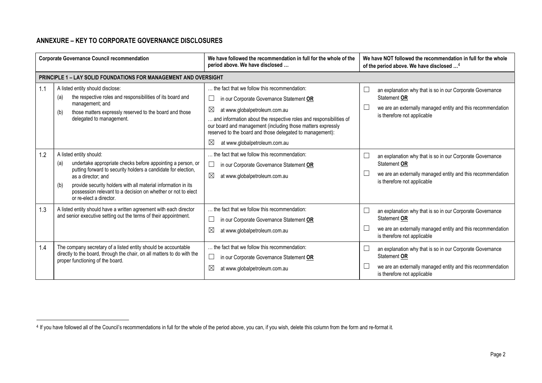# ANNEXURE – KEY TO CORPORATE GOVERNANCE DISCLOSURES

 $\overline{a}$ 

| <b>Corporate Governance Council recommendation</b> |                                                                                                                                                                                                                                                                                                                                                         | We have followed the recommendation in full for the whole of the<br>period above. We have disclosed                                                                                                                                                                                                                                                                              | We have NOT followed the recommendation in full for the whole<br>of the period above. We have disclosed <sup>4</sup>                                                         |  |
|----------------------------------------------------|---------------------------------------------------------------------------------------------------------------------------------------------------------------------------------------------------------------------------------------------------------------------------------------------------------------------------------------------------------|----------------------------------------------------------------------------------------------------------------------------------------------------------------------------------------------------------------------------------------------------------------------------------------------------------------------------------------------------------------------------------|------------------------------------------------------------------------------------------------------------------------------------------------------------------------------|--|
|                                                    | <b>PRINCIPLE 1 - LAY SOLID FOUNDATIONS FOR MANAGEMENT AND OVERSIGHT</b>                                                                                                                                                                                                                                                                                 |                                                                                                                                                                                                                                                                                                                                                                                  |                                                                                                                                                                              |  |
| 1.1                                                | A listed entity should disclose:<br>the respective roles and responsibilities of its board and<br>(a)<br>management; and<br>those matters expressly reserved to the board and those<br>(b)<br>delegated to management.                                                                                                                                  | the fact that we follow this recommendation:<br>in our Corporate Governance Statement OR<br>⊠<br>at www.globalpetroleum.com.au<br>and information about the respective roles and responsibilities of<br>our board and management (including those matters expressly<br>reserved to the board and those delegated to management):<br>$\boxtimes$<br>at www.globalpetroleum.com.au | L<br>an explanation why that is so in our Corporate Governance<br>Statement OR<br>we are an externally managed entity and this recommendation<br>is therefore not applicable |  |
| 1.2                                                | A listed entity should:<br>undertake appropriate checks before appointing a person, or<br>(a)<br>putting forward to security holders a candidate for election,<br>as a director; and<br>provide security holders with all material information in its<br>(b)<br>possession relevant to a decision on whether or not to elect<br>or re-elect a director. | the fact that we follow this recommendation:<br>$\Box$<br>in our Corporate Governance Statement OR<br>$\boxtimes$<br>at www.globalpetroleum.com.au                                                                                                                                                                                                                               | L<br>an explanation why that is so in our Corporate Governance<br>Statement OR<br>we are an externally managed entity and this recommendation<br>is therefore not applicable |  |
| 1.3                                                | A listed entity should have a written agreement with each director<br>and senior executive setting out the terms of their appointment.                                                                                                                                                                                                                  | the fact that we follow this recommendation:<br>in our Corporate Governance Statement OR<br>⊠<br>at www.globalpetroleum.com.au                                                                                                                                                                                                                                                   | L<br>an explanation why that is so in our Corporate Governance<br>Statement OR<br>we are an externally managed entity and this recommendation<br>is therefore not applicable |  |
| 1.4                                                | The company secretary of a listed entity should be accountable<br>directly to the board, through the chair, on all matters to do with the<br>proper functioning of the board.                                                                                                                                                                           | the fact that we follow this recommendation:<br>in our Corporate Governance Statement OR<br>$\boxtimes$<br>at www.globalpetroleum.com.au                                                                                                                                                                                                                                         | L<br>an explanation why that is so in our Corporate Governance<br>Statement OR<br>we are an externally managed entity and this recommendation<br>is therefore not applicable |  |

<sup>4</sup> If you have followed all of the Council's recommendations in full for the whole of the period above, you can, if you wish, delete this column from the form and re-format it.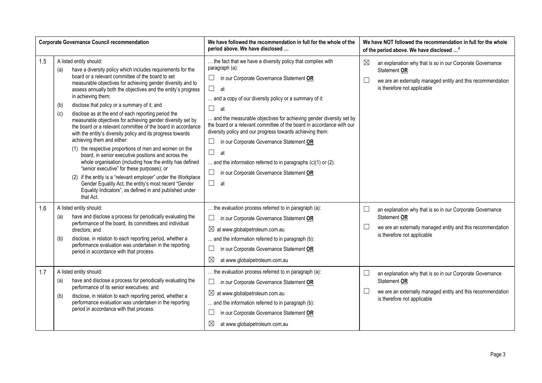| We have followed the recommendation in full for the whole of the<br><b>Corporate Governance Council recommendation</b><br>period above. We have disclosed |                                                                                                                                                                                                                                                                                                                                                                                                                                                                                                                                                                                                                                                                                                                                                                                                                                                                                                                                                                                                                                                                                         | We have NOT followed the recommendation in full for the whole<br>of the period above. We have disclosed <sup>4</sup>                                                                                                                                                                                                                                                                                                                                                                                                                                                                                                                                        |                                                                                                                                                                                                  |
|-----------------------------------------------------------------------------------------------------------------------------------------------------------|-----------------------------------------------------------------------------------------------------------------------------------------------------------------------------------------------------------------------------------------------------------------------------------------------------------------------------------------------------------------------------------------------------------------------------------------------------------------------------------------------------------------------------------------------------------------------------------------------------------------------------------------------------------------------------------------------------------------------------------------------------------------------------------------------------------------------------------------------------------------------------------------------------------------------------------------------------------------------------------------------------------------------------------------------------------------------------------------|-------------------------------------------------------------------------------------------------------------------------------------------------------------------------------------------------------------------------------------------------------------------------------------------------------------------------------------------------------------------------------------------------------------------------------------------------------------------------------------------------------------------------------------------------------------------------------------------------------------------------------------------------------------|--------------------------------------------------------------------------------------------------------------------------------------------------------------------------------------------------|
| 1.5                                                                                                                                                       | A listed entity should:<br>have a diversity policy which includes requirements for the<br>(a)<br>board or a relevant committee of the board to set<br>measurable objectives for achieving gender diversity and to<br>assess annually both the objectives and the entity's progress<br>in achieving them;<br>disclose that policy or a summary of it; and<br>(b)<br>disclose as at the end of each reporting period the<br>(c)<br>measurable objectives for achieving gender diversity set by<br>the board or a relevant committee of the board in accordance<br>with the entity's diversity policy and its progress towards<br>achieving them and either:<br>(1) the respective proportions of men and women on the<br>board, in senior executive positions and across the<br>whole organisation (including how the entity has defined<br>"senior executive" for these purposes); or<br>(2) if the entity is a "relevant employer" under the Workplace<br>Gender Equality Act, the entity's most recent "Gender<br>Equality Indicators", as defined in and published under<br>that Act. | the fact that we have a diversity policy that complies with<br>paragraph (a):<br>$\Box$<br>in our Corporate Governance Statement OR<br>$\Box$<br>at<br>and a copy of our diversity policy or a summary of it:<br>$\Box$<br>at<br>and the measurable objectives for achieving gender diversity set by<br>the board or a relevant committee of the board in accordance with our<br>diversity policy and our progress towards achieving them:<br>$\Box$<br>in our Corporate Governance Statement OR<br>$\Box$<br>at<br>and the information referred to in paragraphs $(c)(1)$ or $(2)$ :<br>$\Box$<br>in our Corporate Governance Statement OR<br>$\Box$<br>at | $\boxtimes$<br>an explanation why that is so in our Corporate Governance<br>Statement OR<br>$\Box$<br>we are an externally managed entity and this recommendation<br>is therefore not applicable |
| 1.6                                                                                                                                                       | A listed entity should:<br>have and disclose a process for periodically evaluating the<br>(a)<br>performance of the board, its committees and individual<br>directors; and<br>disclose, in relation to each reporting period, whether a<br>(b)<br>performance evaluation was undertaken in the reporting<br>period in accordance with that process.                                                                                                                                                                                                                                                                                                                                                                                                                                                                                                                                                                                                                                                                                                                                     | the evaluation process referred to in paragraph (a):<br>$\Box$<br>in our Corporate Governance Statement OR<br>$\boxtimes$ at www.globalpetroleum.com.au<br>and the information referred to in paragraph (b):<br>$\Box$<br>in our Corporate Governance Statement OR<br>$\boxtimes$<br>at www.globalpetroleum.com.au                                                                                                                                                                                                                                                                                                                                          | $\Box$<br>an explanation why that is so in our Corporate Governance<br>Statement OR<br>$\Box$<br>we are an externally managed entity and this recommendation<br>is therefore not applicable      |
| 1.7                                                                                                                                                       | A listed entity should:<br>have and disclose a process for periodically evaluating the<br>(a)<br>performance of its senior executives; and<br>disclose, in relation to each reporting period, whether a<br>(b)<br>performance evaluation was undertaken in the reporting<br>period in accordance with that process.                                                                                                                                                                                                                                                                                                                                                                                                                                                                                                                                                                                                                                                                                                                                                                     | the evaluation process referred to in paragraph (a):<br>$\Box$<br>in our Corporate Governance Statement OR<br>$\boxtimes$ at www.globalpetroleum.com.au<br>and the information referred to in paragraph (b):<br>$\Box$<br>in our Corporate Governance Statement OR<br>$\boxtimes$<br>at www.globalpetroleum.com.au                                                                                                                                                                                                                                                                                                                                          | an explanation why that is so in our Corporate Governance<br>Statement OR<br>$\Box$<br>we are an externally managed entity and this recommendation<br>is therefore not applicable                |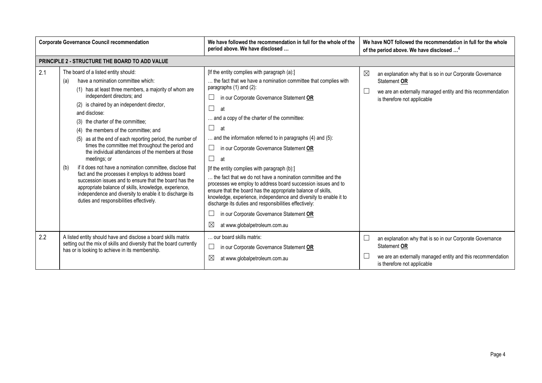| <b>Corporate Governance Council recommendation</b> |                                                                                                                                                                                                                                                                                                                                                                                                                                                                                                                                                                                                                                                                                                                                                                                                                                                                     | We have followed the recommendation in full for the whole of the<br>period above. We have disclosed                                                                                                                                                                                                                                                                                                                                                                                                                                                                                                                                                                                                                                                                                                                                                                                       | We have NOT followed the recommendation in full for the whole<br>of the period above. We have disclosed <sup>4</sup>                                                         |  |
|----------------------------------------------------|---------------------------------------------------------------------------------------------------------------------------------------------------------------------------------------------------------------------------------------------------------------------------------------------------------------------------------------------------------------------------------------------------------------------------------------------------------------------------------------------------------------------------------------------------------------------------------------------------------------------------------------------------------------------------------------------------------------------------------------------------------------------------------------------------------------------------------------------------------------------|-------------------------------------------------------------------------------------------------------------------------------------------------------------------------------------------------------------------------------------------------------------------------------------------------------------------------------------------------------------------------------------------------------------------------------------------------------------------------------------------------------------------------------------------------------------------------------------------------------------------------------------------------------------------------------------------------------------------------------------------------------------------------------------------------------------------------------------------------------------------------------------------|------------------------------------------------------------------------------------------------------------------------------------------------------------------------------|--|
|                                                    | <b>PRINCIPLE 2 - STRUCTURE THE BOARD TO ADD VALUE</b>                                                                                                                                                                                                                                                                                                                                                                                                                                                                                                                                                                                                                                                                                                                                                                                                               |                                                                                                                                                                                                                                                                                                                                                                                                                                                                                                                                                                                                                                                                                                                                                                                                                                                                                           |                                                                                                                                                                              |  |
| 2.1                                                | The board of a listed entity should:<br>have a nomination committee which:<br>(a)<br>(1) has at least three members, a majority of whom are<br>independent directors; and<br>(2) is chaired by an independent director,<br>and disclose:<br>(3) the charter of the committee;<br>(4) the members of the committee; and<br>(5) as at the end of each reporting period, the number of<br>times the committee met throughout the period and<br>the individual attendances of the members at those<br>meetings; or<br>if it does not have a nomination committee, disclose that<br>(b)<br>fact and the processes it employs to address board<br>succession issues and to ensure that the board has the<br>appropriate balance of skills, knowledge, experience,<br>independence and diversity to enable it to discharge its<br>duties and responsibilities effectively. | [If the entity complies with paragraph (a):]<br>the fact that we have a nomination committee that complies with<br>paragraphs (1) and (2):<br>in our Corporate Governance Statement OR<br>Ш<br>$\Box$<br>at<br>and a copy of the charter of the committee:<br>$\Box$<br>at<br>and the information referred to in paragraphs (4) and (5):<br>$\Box$<br>in our Corporate Governance Statement OR<br>$\Box$<br>at<br>[If the entity complies with paragraph (b):]<br>the fact that we do not have a nomination committee and the<br>processes we employ to address board succession issues and to<br>ensure that the board has the appropriate balance of skills,<br>knowledge, experience, independence and diversity to enable it to<br>discharge its duties and responsibilities effectively:<br>in our Corporate Governance Statement OR<br>$\boxtimes$<br>at www.globalpetroleum.com.au | ⊠<br>an explanation why that is so in our Corporate Governance<br>Statement OR<br>we are an externally managed entity and this recommendation<br>is therefore not applicable |  |
| 2.2                                                | A listed entity should have and disclose a board skills matrix<br>setting out the mix of skills and diversity that the board currently<br>has or is looking to achieve in its membership.                                                                                                                                                                                                                                                                                                                                                                                                                                                                                                                                                                                                                                                                           | our board skills matrix:<br>$\Box$<br>in our Corporate Governance Statement OR<br>⊠<br>at www.globalpetroleum.com.au                                                                                                                                                                                                                                                                                                                                                                                                                                                                                                                                                                                                                                                                                                                                                                      | an explanation why that is so in our Corporate Governance<br>Statement OR<br>we are an externally managed entity and this recommendation<br>is therefore not applicable      |  |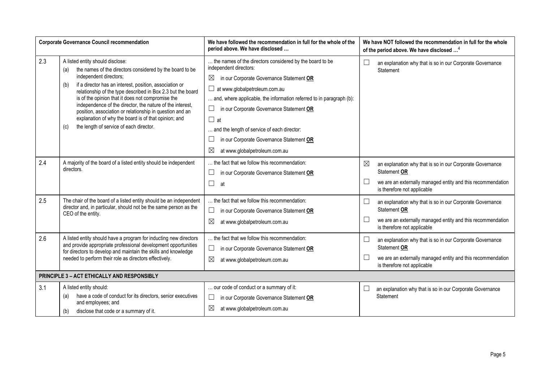| <b>Corporate Governance Council recommendation</b> |                                                                                                                                                                                                                                                                                                                                                                                                                                                                                                                                                        | We have followed the recommendation in full for the whole of the<br>period above. We have disclosed                                                                                                                                                                                                                                                                                                                                                     | We have NOT followed the recommendation in full for the whole<br>of the period above. We have disclosed <sup>4</sup>                                                                      |
|----------------------------------------------------|--------------------------------------------------------------------------------------------------------------------------------------------------------------------------------------------------------------------------------------------------------------------------------------------------------------------------------------------------------------------------------------------------------------------------------------------------------------------------------------------------------------------------------------------------------|---------------------------------------------------------------------------------------------------------------------------------------------------------------------------------------------------------------------------------------------------------------------------------------------------------------------------------------------------------------------------------------------------------------------------------------------------------|-------------------------------------------------------------------------------------------------------------------------------------------------------------------------------------------|
| 2.3                                                | A listed entity should disclose:<br>the names of the directors considered by the board to be<br>(a)<br>independent directors;<br>if a director has an interest, position, association or<br>(b)<br>relationship of the type described in Box 2.3 but the board<br>is of the opinion that it does not compromise the<br>independence of the director, the nature of the interest,<br>position, association or relationship in question and an<br>explanation of why the board is of that opinion; and<br>the length of service of each director.<br>(c) | the names of the directors considered by the board to be<br>independent directors:<br>⊠<br>in our Corporate Governance Statement OR<br>$\Box$ at www.globalpetroleum.com.au<br>and, where applicable, the information referred to in paragraph (b):<br>in our Corporate Governance Statement OR<br>$\Box$<br>$\Box$ at<br>and the length of service of each director:<br>in our Corporate Governance Statement OR<br>⊠<br>at www.globalpetroleum.com.au | an explanation why that is so in our Corporate Governance<br><b>Statement</b>                                                                                                             |
| 2.4                                                | A majority of the board of a listed entity should be independent<br>directors.                                                                                                                                                                                                                                                                                                                                                                                                                                                                         | the fact that we follow this recommendation:<br>in our Corporate Governance Statement OR<br>П<br>at                                                                                                                                                                                                                                                                                                                                                     | $\boxtimes$<br>an explanation why that is so in our Corporate Governance<br>Statement OR<br>we are an externally managed entity and this recommendation<br>is therefore not applicable    |
| 2.5                                                | The chair of the board of a listed entity should be an independent<br>director and, in particular, should not be the same person as the<br>CEO of the entity.                                                                                                                                                                                                                                                                                                                                                                                          | the fact that we follow this recommendation:<br>$\Box$<br>in our Corporate Governance Statement OR<br>⊠<br>at www.globalpetroleum.com.au                                                                                                                                                                                                                                                                                                                | $\Box$<br>an explanation why that is so in our Corporate Governance<br>Statement OR<br>we are an externally managed entity and this recommendation<br>is therefore not applicable         |
| 2.6                                                | A listed entity should have a program for inducting new directors<br>and provide appropriate professional development opportunities<br>for directors to develop and maintain the skills and knowledge<br>needed to perform their role as directors effectively.                                                                                                                                                                                                                                                                                        | the fact that we follow this recommendation:<br>$\Box$<br>in our Corporate Governance Statement OR<br>⊠<br>at www.globalpetroleum.com.au                                                                                                                                                                                                                                                                                                                | $\mathbb{R}^n$<br>an explanation why that is so in our Corporate Governance<br>Statement OR<br>we are an externally managed entity and this recommendation<br>is therefore not applicable |
|                                                    | PRINCIPLE 3 - ACT ETHICALLY AND RESPONSIBLY                                                                                                                                                                                                                                                                                                                                                                                                                                                                                                            |                                                                                                                                                                                                                                                                                                                                                                                                                                                         |                                                                                                                                                                                           |
| 3.1                                                | A listed entity should:<br>have a code of conduct for its directors, senior executives<br>(a)<br>and employees; and<br>disclose that code or a summary of it.<br>(b)                                                                                                                                                                                                                                                                                                                                                                                   | our code of conduct or a summary of it:<br>in our Corporate Governance Statement OR<br>⊠<br>at www.globalpetroleum.com.au                                                                                                                                                                                                                                                                                                                               | an explanation why that is so in our Corporate Governance<br>Statement                                                                                                                    |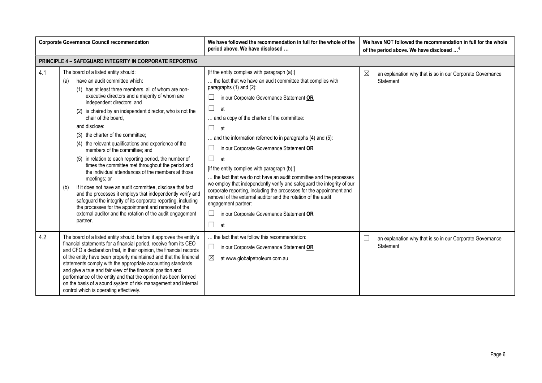| <b>Corporate Governance Council recommendation</b> |                                                                                                                                                                                                                                                                                                                                                                                                                                                                                                                                                                                                                                                                                                                                                                                                                                                                                                                                                                                      | We have followed the recommendation in full for the whole of the<br>period above. We have disclosed                                                                                                                                                                                                                                                                                                                                                                                                                                                                                                                                                                                                                                                                                                                    | We have NOT followed the recommendation in full for the whole<br>of the period above. We have disclosed <sup>4</sup> |
|----------------------------------------------------|--------------------------------------------------------------------------------------------------------------------------------------------------------------------------------------------------------------------------------------------------------------------------------------------------------------------------------------------------------------------------------------------------------------------------------------------------------------------------------------------------------------------------------------------------------------------------------------------------------------------------------------------------------------------------------------------------------------------------------------------------------------------------------------------------------------------------------------------------------------------------------------------------------------------------------------------------------------------------------------|------------------------------------------------------------------------------------------------------------------------------------------------------------------------------------------------------------------------------------------------------------------------------------------------------------------------------------------------------------------------------------------------------------------------------------------------------------------------------------------------------------------------------------------------------------------------------------------------------------------------------------------------------------------------------------------------------------------------------------------------------------------------------------------------------------------------|----------------------------------------------------------------------------------------------------------------------|
|                                                    | <b>PRINCIPLE 4 - SAFEGUARD INTEGRITY IN CORPORATE REPORTING</b>                                                                                                                                                                                                                                                                                                                                                                                                                                                                                                                                                                                                                                                                                                                                                                                                                                                                                                                      |                                                                                                                                                                                                                                                                                                                                                                                                                                                                                                                                                                                                                                                                                                                                                                                                                        |                                                                                                                      |
| 4.1                                                | The board of a listed entity should:<br>have an audit committee which:<br>(a)<br>(1) has at least three members, all of whom are non-<br>executive directors and a majority of whom are<br>independent directors; and<br>(2) is chaired by an independent director, who is not the<br>chair of the board.<br>and disclose:<br>(3) the charter of the committee;<br>(4) the relevant qualifications and experience of the<br>members of the committee: and<br>(5) in relation to each reporting period, the number of<br>times the committee met throughout the period and<br>the individual attendances of the members at those<br>meetings; or<br>if it does not have an audit committee, disclose that fact<br>(b)<br>and the processes it employs that independently verify and<br>safeguard the integrity of its corporate reporting, including<br>the processes for the appointment and removal of the<br>external auditor and the rotation of the audit engagement<br>partner. | [If the entity complies with paragraph (a):]<br>the fact that we have an audit committee that complies with<br>paragraphs (1) and (2):<br>in our Corporate Governance Statement OR<br>П<br>at<br>and a copy of the charter of the committee:<br>П<br>at<br>and the information referred to in paragraphs (4) and (5):<br>in our Corporate Governance Statement OR<br>$\Box$<br>at<br>[If the entity complies with paragraph (b):]<br>the fact that we do not have an audit committee and the processes<br>we employ that independently verify and safeguard the integrity of our<br>corporate reporting, including the processes for the appointment and<br>removal of the external auditor and the rotation of the audit<br>engagement partner:<br>in our Corporate Governance Statement OR<br>$\Box$<br>$\Box$<br>at | $\boxtimes$<br>an explanation why that is so in our Corporate Governance<br>Statement                                |
| 4.2                                                | The board of a listed entity should, before it approves the entity's<br>financial statements for a financial period, receive from its CEO<br>and CFO a declaration that, in their opinion, the financial records<br>of the entity have been properly maintained and that the financial<br>statements comply with the appropriate accounting standards<br>and give a true and fair view of the financial position and<br>performance of the entity and that the opinion has been formed<br>on the basis of a sound system of risk management and internal<br>control which is operating effectively.                                                                                                                                                                                                                                                                                                                                                                                  | the fact that we follow this recommendation:<br>in our Corporate Governance Statement OR<br>⊔<br>$\boxtimes$<br>at www.globalpetroleum.com.au                                                                                                                                                                                                                                                                                                                                                                                                                                                                                                                                                                                                                                                                          | an explanation why that is so in our Corporate Governance<br>Statement                                               |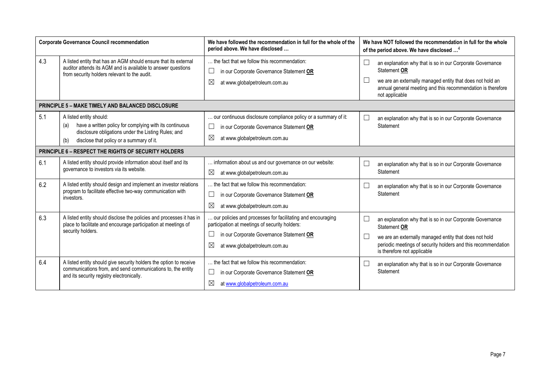| <b>Corporate Governance Council recommendation</b><br>period above. We have disclosed |                                                                                                                                                                                                     | We have followed the recommendation in full for the whole of the                                                                                                                                                      | We have NOT followed the recommendation in full for the whole<br>of the period above. We have disclosed <sup>4</sup>                                                                                                                          |
|---------------------------------------------------------------------------------------|-----------------------------------------------------------------------------------------------------------------------------------------------------------------------------------------------------|-----------------------------------------------------------------------------------------------------------------------------------------------------------------------------------------------------------------------|-----------------------------------------------------------------------------------------------------------------------------------------------------------------------------------------------------------------------------------------------|
| 4.3                                                                                   | A listed entity that has an AGM should ensure that its external<br>auditor attends its AGM and is available to answer questions<br>from security holders relevant to the audit.                     | the fact that we follow this recommendation:<br>$\Box$<br>in our Corporate Governance Statement OR<br>$\boxtimes$<br>at www.globalpetroleum.com.au                                                                    | $\Box$<br>an explanation why that is so in our Corporate Governance<br>Statement OR<br>we are an externally managed entity that does not hold an<br>annual general meeting and this recommendation is therefore<br>not applicable             |
|                                                                                       | <b>PRINCIPLE 5 - MAKE TIMELY AND BALANCED DISCLOSURE</b>                                                                                                                                            |                                                                                                                                                                                                                       |                                                                                                                                                                                                                                               |
| 5.1                                                                                   | A listed entity should:<br>have a written policy for complying with its continuous<br>(a)<br>disclosure obligations under the Listing Rules; and<br>disclose that policy or a summary of it.<br>(b) | our continuous disclosure compliance policy or a summary of it:<br>Ш<br>in our Corporate Governance Statement OR<br>$\boxtimes$<br>at www.globalpetroleum.com.au                                                      | $\Box$<br>an explanation why that is so in our Corporate Governance<br>Statement                                                                                                                                                              |
|                                                                                       | <b>PRINCIPLE 6 - RESPECT THE RIGHTS OF SECURITY HOLDERS</b>                                                                                                                                         |                                                                                                                                                                                                                       |                                                                                                                                                                                                                                               |
| 6.1                                                                                   | A listed entity should provide information about itself and its<br>governance to investors via its website.                                                                                         | information about us and our governance on our website:<br>$\boxtimes$<br>at www.globalpetroleum.com.au                                                                                                               | $\Box$<br>an explanation why that is so in our Corporate Governance<br>Statement                                                                                                                                                              |
| 6.2                                                                                   | A listed entity should design and implement an investor relations<br>program to facilitate effective two-way communication with<br>investors.                                                       | the fact that we follow this recommendation:<br>$\Box$<br>in our Corporate Governance Statement OR<br>$\boxtimes$<br>at www.globalpetroleum.com.au                                                                    | $\Box$<br>an explanation why that is so in our Corporate Governance<br>Statement                                                                                                                                                              |
| 6.3                                                                                   | A listed entity should disclose the policies and processes it has in<br>place to facilitate and encourage participation at meetings of<br>security holders.                                         | . our policies and processes for facilitating and encouraging<br>participation at meetings of security holders:<br>$\Box$<br>in our Corporate Governance Statement OR<br>$\boxtimes$<br>at www.globalpetroleum.com.au | $\Box$<br>an explanation why that is so in our Corporate Governance<br>Statement OR<br>we are an externally managed entity that does not hold<br>periodic meetings of security holders and this recommendation<br>is therefore not applicable |
| 6.4                                                                                   | A listed entity should give security holders the option to receive<br>communications from, and send communications to, the entity<br>and its security registry electronically.                      | the fact that we follow this recommendation:<br>$\Box$<br>in our Corporate Governance Statement OR<br>$\boxtimes$<br>at www.globalpetroleum.com.au                                                                    | $\Box$<br>an explanation why that is so in our Corporate Governance<br>Statement                                                                                                                                                              |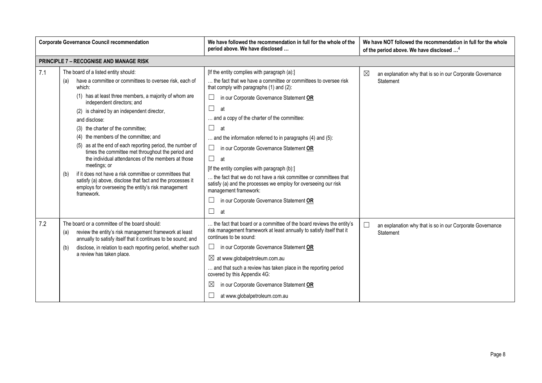| <b>Corporate Governance Council recommendation</b> |                                                                                                                                                                                                                                                                                                                                                                                                                                                                                                                                                                                                                                                                                                                                                    | We have followed the recommendation in full for the whole of the<br>period above. We have disclosed                                                                                                                                                                                                                                                                                                                                                                                                                                                                                                                                                                                               | We have NOT followed the recommendation in full for the whole<br>of the period above. We have disclosed <sup>4</sup> |
|----------------------------------------------------|----------------------------------------------------------------------------------------------------------------------------------------------------------------------------------------------------------------------------------------------------------------------------------------------------------------------------------------------------------------------------------------------------------------------------------------------------------------------------------------------------------------------------------------------------------------------------------------------------------------------------------------------------------------------------------------------------------------------------------------------------|---------------------------------------------------------------------------------------------------------------------------------------------------------------------------------------------------------------------------------------------------------------------------------------------------------------------------------------------------------------------------------------------------------------------------------------------------------------------------------------------------------------------------------------------------------------------------------------------------------------------------------------------------------------------------------------------------|----------------------------------------------------------------------------------------------------------------------|
|                                                    | <b>PRINCIPLE 7 - RECOGNISE AND MANAGE RISK</b>                                                                                                                                                                                                                                                                                                                                                                                                                                                                                                                                                                                                                                                                                                     |                                                                                                                                                                                                                                                                                                                                                                                                                                                                                                                                                                                                                                                                                                   |                                                                                                                      |
| 7.1                                                | The board of a listed entity should:<br>have a committee or committees to oversee risk, each of<br>(a)<br>which:<br>(1) has at least three members, a majority of whom are<br>independent directors; and<br>(2) is chaired by an independent director,<br>and disclose:<br>(3) the charter of the committee;<br>(4) the members of the committee; and<br>(5) as at the end of each reporting period, the number of<br>times the committee met throughout the period and<br>the individual attendances of the members at those<br>meetings; or<br>if it does not have a risk committee or committees that<br>(b)<br>satisfy (a) above, disclose that fact and the processes it<br>employs for overseeing the entity's risk management<br>framework. | [If the entity complies with paragraph (a):]<br>the fact that we have a committee or committees to oversee risk<br>that comply with paragraphs (1) and (2):<br>$\Box$<br>in our Corporate Governance Statement OR<br>$\Box$<br>at<br>and a copy of the charter of the committee:<br>$\Box$<br>at<br>and the information referred to in paragraphs (4) and (5):<br>in our Corporate Governance Statement OR<br>$\Box$<br>at<br>[If the entity complies with paragraph (b):]<br>the fact that we do not have a risk committee or committees that<br>satisfy (a) and the processes we employ for overseeing our risk<br>management framework:<br>in our Corporate Governance Statement OR<br>П<br>at | $\boxtimes$<br>an explanation why that is so in our Corporate Governance<br>Statement                                |
| 7.2                                                | The board or a committee of the board should:<br>review the entity's risk management framework at least<br>(a)<br>annually to satisfy itself that it continues to be sound; and<br>disclose, in relation to each reporting period, whether such<br>(b)<br>a review has taken place.                                                                                                                                                                                                                                                                                                                                                                                                                                                                | the fact that board or a committee of the board reviews the entity's<br>risk management framework at least annually to satisfy itself that it<br>continues to be sound:<br>⊔<br>in our Corporate Governance Statement OR<br>$\boxtimes$ at www.globalpetroleum.com.au<br>and that such a review has taken place in the reporting period<br>covered by this Appendix 4G:<br>$\boxtimes$<br>in our Corporate Governance Statement OR<br>at www.globalpetroleum.com.au                                                                                                                                                                                                                               | $\overline{\phantom{a}}$<br>an explanation why that is so in our Corporate Governance<br>Statement                   |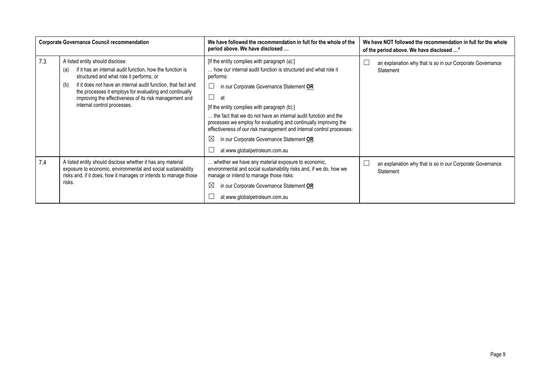|     | <b>Corporate Governance Council recommendation</b>                                                                                                                                                                                                                                                                                                                           | We have followed the recommendation in full for the whole of the<br>period above. We have disclosed                                                                                                                                                                                                                                                                                                                                                                                                                                                        | We have NOT followed the recommendation in full for the whole<br>of the period above. We have disclosed <sup>4</sup> |
|-----|------------------------------------------------------------------------------------------------------------------------------------------------------------------------------------------------------------------------------------------------------------------------------------------------------------------------------------------------------------------------------|------------------------------------------------------------------------------------------------------------------------------------------------------------------------------------------------------------------------------------------------------------------------------------------------------------------------------------------------------------------------------------------------------------------------------------------------------------------------------------------------------------------------------------------------------------|----------------------------------------------------------------------------------------------------------------------|
| 7.3 | A listed entity should disclose:<br>if it has an internal audit function, how the function is<br>(a)<br>structured and what role it performs; or<br>if it does not have an internal audit function, that fact and<br>(b)<br>the processes it employs for evaluating and continually<br>improving the effectiveness of its risk management and<br>internal control processes. | [If the entity complies with paragraph (a):]<br>how our internal audit function is structured and what role it<br>performs:<br>in our Corporate Governance Statement OR<br>$\overline{\phantom{a}}$<br>at<br>[If the entity complies with paragraph (b):]<br>the fact that we do not have an internal audit function and the<br>processes we employ for evaluating and continually improving the<br>effectiveness of our risk management and internal control processes:<br>⊠<br>in our Corporate Governance Statement OR<br>at www.globalpetroleum.com.au | an explanation why that is so in our Corporate Governance<br>Statement                                               |
| 7.4 | A listed entity should disclose whether it has any material<br>exposure to economic, environmental and social sustainability<br>risks and, if it does, how it manages or intends to manage those<br>risks.                                                                                                                                                                   | whether we have any material exposure to economic,<br>environmental and social sustainability risks and, if we do, how we<br>manage or intend to manage those risks:<br>⊠<br>in our Corporate Governance Statement OR<br>at www.globalpetroleum.com.au                                                                                                                                                                                                                                                                                                     | an explanation why that is so in our Corporate Governance<br>Statement                                               |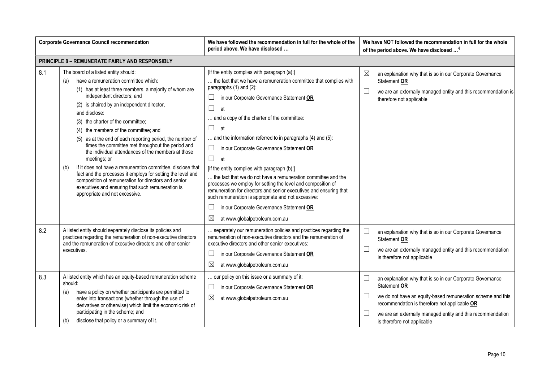| <b>Corporate Governance Council recommendation</b> |                                                                                                                                                                                                                                                                                                                                                                                                                                                                                                                                                                                                                                                                                                                                                                                                      | We have followed the recommendation in full for the whole of the<br>period above. We have disclosed                                                                                                                                                                                                                                                                                                                                                                                                                                                                                                                                                                                                                                                                                                         | We have NOT followed the recommendation in full for the whole<br>of the period above. We have disclosed <sup>4</sup>                                                                                                                                                                                        |  |
|----------------------------------------------------|------------------------------------------------------------------------------------------------------------------------------------------------------------------------------------------------------------------------------------------------------------------------------------------------------------------------------------------------------------------------------------------------------------------------------------------------------------------------------------------------------------------------------------------------------------------------------------------------------------------------------------------------------------------------------------------------------------------------------------------------------------------------------------------------------|-------------------------------------------------------------------------------------------------------------------------------------------------------------------------------------------------------------------------------------------------------------------------------------------------------------------------------------------------------------------------------------------------------------------------------------------------------------------------------------------------------------------------------------------------------------------------------------------------------------------------------------------------------------------------------------------------------------------------------------------------------------------------------------------------------------|-------------------------------------------------------------------------------------------------------------------------------------------------------------------------------------------------------------------------------------------------------------------------------------------------------------|--|
|                                                    | PRINCIPLE 8 - REMUNERATE FAIRLY AND RESPONSIBLY                                                                                                                                                                                                                                                                                                                                                                                                                                                                                                                                                                                                                                                                                                                                                      |                                                                                                                                                                                                                                                                                                                                                                                                                                                                                                                                                                                                                                                                                                                                                                                                             |                                                                                                                                                                                                                                                                                                             |  |
| 8.1                                                | The board of a listed entity should:<br>have a remuneration committee which:<br>(a)<br>(1) has at least three members, a majority of whom are<br>independent directors; and<br>(2) is chaired by an independent director,<br>and disclose:<br>(3) the charter of the committee;<br>(4) the members of the committee; and<br>(5) as at the end of each reporting period, the number of<br>times the committee met throughout the period and<br>the individual attendances of the members at those<br>meetings; or<br>if it does not have a remuneration committee, disclose that<br>(b)<br>fact and the processes it employs for setting the level and<br>composition of remuneration for directors and senior<br>executives and ensuring that such remuneration is<br>appropriate and not excessive. | [If the entity complies with paragraph (a):]<br>the fact that we have a remuneration committee that complies with<br>paragraphs $(1)$ and $(2)$ :<br>in our Corporate Governance Statement OR<br>$\Box$<br>at<br>and a copy of the charter of the committee:<br>$\Box$<br>at<br>and the information referred to in paragraphs (4) and (5):<br>in our Corporate Governance Statement OR<br>⊔<br>$\Box$<br>at<br>[If the entity complies with paragraph (b):]<br>the fact that we do not have a remuneration committee and the<br>processes we employ for setting the level and composition of<br>remuneration for directors and senior executives and ensuring that<br>such remuneration is appropriate and not excessive:<br>in our Corporate Governance Statement OR<br>⊠<br>at www.globalpetroleum.com.au | ⊠<br>an explanation why that is so in our Corporate Governance<br>Statement OR<br>$\Box$<br>we are an externally managed entity and this recommendation is<br>therefore not applicable                                                                                                                      |  |
| 8.2                                                | A listed entity should separately disclose its policies and<br>practices regarding the remuneration of non-executive directors<br>and the remuneration of executive directors and other senior<br>executives.                                                                                                                                                                                                                                                                                                                                                                                                                                                                                                                                                                                        | separately our remuneration policies and practices regarding the<br>remuneration of non-executive directors and the remuneration of<br>executive directors and other senior executives:<br>in our Corporate Governance Statement OR<br>$\Box$<br>$\boxtimes$<br>at www.globalpetroleum.com.au                                                                                                                                                                                                                                                                                                                                                                                                                                                                                                               | $\Box$<br>an explanation why that is so in our Corporate Governance<br>Statement OR<br>$\Box$<br>we are an externally managed entity and this recommendation<br>is therefore not applicable                                                                                                                 |  |
| 8.3                                                | A listed entity which has an equity-based remuneration scheme<br>should:<br>have a policy on whether participants are permitted to<br>(a)<br>enter into transactions (whether through the use of<br>derivatives or otherwise) which limit the economic risk of<br>participating in the scheme; and<br>disclose that policy or a summary of it.<br>(b)                                                                                                                                                                                                                                                                                                                                                                                                                                                | our policy on this issue or a summary of it:<br>⊔<br>in our Corporate Governance Statement OR<br>$\boxtimes$<br>at www.globalpetroleum.com.au                                                                                                                                                                                                                                                                                                                                                                                                                                                                                                                                                                                                                                                               | $\Box$<br>an explanation why that is so in our Corporate Governance<br>Statement OR<br>$\Box$<br>we do not have an equity-based remuneration scheme and this<br>recommendation is therefore not applicable OR<br>we are an externally managed entity and this recommendation<br>is therefore not applicable |  |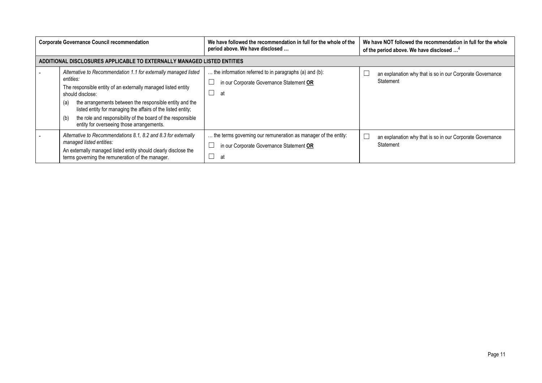| <b>Corporate Governance Council recommendation</b> |                                                                                                                                                                                                                                                                                                                                                                                                                        | We have followed the recommendation in full for the whole of the<br>period above. We have disclosed              | We have NOT followed the recommendation in full for the whole<br>of the period above. We have disclosed <sup>4</sup> |
|----------------------------------------------------|------------------------------------------------------------------------------------------------------------------------------------------------------------------------------------------------------------------------------------------------------------------------------------------------------------------------------------------------------------------------------------------------------------------------|------------------------------------------------------------------------------------------------------------------|----------------------------------------------------------------------------------------------------------------------|
|                                                    | ADDITIONAL DISCLOSURES APPLICABLE TO EXTERNALLY MANAGED LISTED ENTITIES                                                                                                                                                                                                                                                                                                                                                |                                                                                                                  |                                                                                                                      |
|                                                    | Alternative to Recommendation 1.1 for externally managed listed<br>entities:<br>The responsible entity of an externally managed listed entity<br>should disclose:<br>the arrangements between the responsible entity and the<br>(a)<br>listed entity for managing the affairs of the listed entity;<br>the role and responsibility of the board of the responsible<br>(b)<br>entity for overseeing those arrangements. | the information referred to in paragraphs (a) and (b):<br>in our Corporate Governance Statement OR<br>at         | an explanation why that is so in our Corporate Governance<br>Statement                                               |
|                                                    | Alternative to Recommendations 8.1, 8.2 and 8.3 for externally<br>managed listed entities:<br>An externally managed listed entity should clearly disclose the<br>terms governing the remuneration of the manager.                                                                                                                                                                                                      | the terms governing our remuneration as manager of the entity:<br>in our Corporate Governance Statement OR<br>at | an explanation why that is so in our Corporate Governance<br>Statement                                               |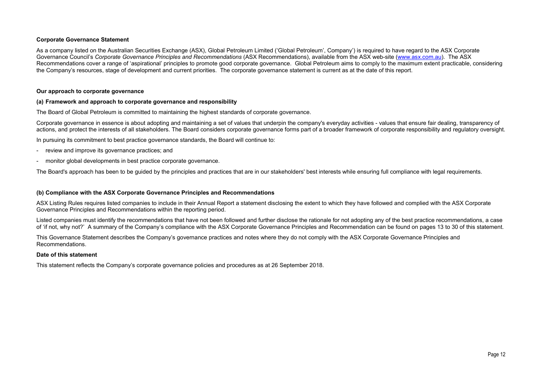# Corporate Governance Statement

As a company listed on the Australian Securities Exchange (ASX), Global Petroleum Limited ('Global Petroleum', Company') is required to have regard to the ASX Corporate Governance Council's Corporate Governance Principles and Recommendations (ASX Recommendations), available from the ASX web-site (www.asx.com.au). The ASX Recommendations cover a range of 'aspirational' principles to promote good corporate governance. Global Petroleum aims to comply to the maximum extent practicable, considering the Company's resources, stage of development and current priorities. The corporate governance statement is current as at the date of this report.

#### Our approach to corporate governance

#### (a) Framework and approach to corporate governance and responsibility

The Board of Global Petroleum is committed to maintaining the highest standards of corporate governance.

Corporate governance in essence is about adopting and maintaining a set of values that underpin the company's everyday activities - values that ensure fair dealing, transparency of actions, and protect the interests of all stakeholders. The Board considers corporate governance forms part of a broader framework of corporate responsibility and regulatory oversight.

In pursuing its commitment to best practice governance standards, the Board will continue to:

- review and improve its governance practices; and
- monitor global developments in best practice corporate governance.

The Board's approach has been to be guided by the principles and practices that are in our stakeholders' best interests while ensuring full compliance with legal requirements.

#### (b) Compliance with the ASX Corporate Governance Principles and Recommendations

ASX Listing Rules requires listed companies to include in their Annual Report a statement disclosing the extent to which they have followed and complied with the ASX Corporate Governance Principles and Recommendations within the reporting period.

Listed companies must identify the recommendations that have not been followed and further disclose the rationale for not adopting any of the best practice recommendations, a case of 'if not, why not?' A summary of the Company's compliance with the ASX Corporate Governance Principles and Recommendation can be found on pages 13 to 30 of this statement.

This Governance Statement describes the Company's governance practices and notes where they do not comply with the ASX Corporate Governance Principles and Recommendations.

#### Date of this statement

This statement reflects the Company's corporate governance policies and procedures as at 26 September 2018.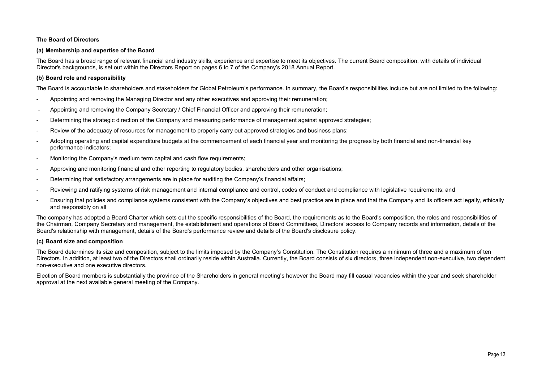# The Board of Directors

# (a) Membership and expertise of the Board

The Board has a broad range of relevant financial and industry skills, experience and expertise to meet its objectives. The current Board composition, with details of individual Director's backgrounds, is set out within the Directors Report on pages 6 to 7 of the Company's 2018 Annual Report.

# (b) Board role and responsibility

The Board is accountable to shareholders and stakeholders for Global Petroleum's performance. In summary, the Board's responsibilities include but are not limited to the following:

- Appointing and removing the Managing Director and any other executives and approving their remuneration;
- Appointing and removing the Company Secretary / Chief Financial Officer and approving their remuneration;
- Determining the strategic direction of the Company and measuring performance of management against approved strategies;
- Review of the adequacy of resources for management to properly carry out approved strategies and business plans;
- Adopting operating and capital expenditure budgets at the commencement of each financial year and monitoring the progress by both financial and non-financial key performance indicators;
- Monitoring the Company's medium term capital and cash flow requirements;
- Approving and monitoring financial and other reporting to regulatory bodies, shareholders and other organisations;
- Determining that satisfactory arrangements are in place for auditing the Company's financial affairs;
- Reviewing and ratifying systems of risk management and internal compliance and control, codes of conduct and compliance with legislative requirements; and
- Ensuring that policies and compliance systems consistent with the Company's objectives and best practice are in place and that the Company and its officers act legally, ethically and responsibly on all

The company has adopted a Board Charter which sets out the specific responsibilities of the Board, the requirements as to the Board's composition, the roles and responsibilities of the Chairman, Company Secretary and management, the establishment and operations of Board Committees, Directors' access to Company records and information, details of the Board's relationship with management, details of the Board's performance review and details of the Board's disclosure policy.

# (c) Board size and composition

The Board determines its size and composition, subject to the limits imposed by the Company's Constitution. The Constitution requires a minimum of three and a maximum of ten Directors. In addition, at least two of the Directors shall ordinarily reside within Australia. Currently, the Board consists of six directors, three independent non-executive, two dependent non-executive and one executive directors.

Election of Board members is substantially the province of the Shareholders in general meeting's however the Board may fill casual vacancies within the year and seek shareholder approval at the next available general meeting of the Company.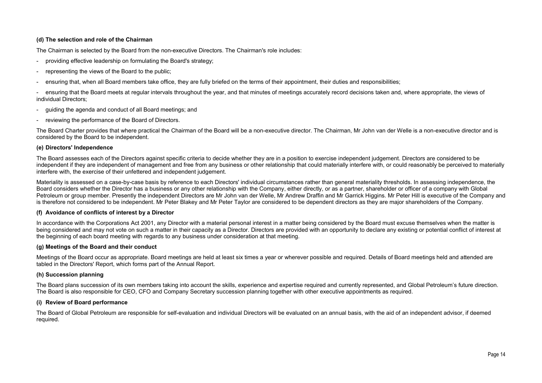# (d) The selection and role of the Chairman

The Chairman is selected by the Board from the non-executive Directors. The Chairman's role includes:

- providing effective leadership on formulating the Board's strategy;
- representing the views of the Board to the public;
- ensuring that, when all Board members take office, they are fully briefed on the terms of their appointment, their duties and responsibilities;

- ensuring that the Board meets at regular intervals throughout the year, and that minutes of meetings accurately record decisions taken and, where appropriate, the views of individual Directors;

- guiding the agenda and conduct of all Board meetings; and
- reviewing the performance of the Board of Directors.

The Board Charter provides that where practical the Chairman of the Board will be a non-executive director. The Chairman, Mr John van der Welle is a non-executive director and is considered by the Board to be independent.

#### (e) Directors' Independence

The Board assesses each of the Directors against specific criteria to decide whether they are in a position to exercise independent judgement. Directors are considered to be independent if they are independent of management and free from any business or other relationship that could materially interfere with, or could reasonably be perceived to materially interfere with, the exercise of their unfettered and independent judgement.

Materiality is assessed on a case-by-case basis by reference to each Directors' individual circumstances rather than general materiality thresholds. In assessing independence, the Board considers whether the Director has a business or any other relationship with the Company, either directly, or as a partner, shareholder or officer of a company with Global Petroleum or group member. Presently the independent Directors are Mr John van der Welle, Mr Andrew Draffin and Mr Garrick Higgins. Mr Peter Hill is executive of the Company and is therefore not considered to be independent. Mr Peter Blakey and Mr Peter Taylor are considered to be dependent directors as they are major shareholders of the Company.

# (f) Avoidance of conflicts of interest by a Director

In accordance with the Corporations Act 2001, any Director with a material personal interest in a matter being considered by the Board must excuse themselves when the matter is being considered and may not vote on such a matter in their capacity as a Director. Directors are provided with an opportunity to declare any existing or potential conflict of interest at the beginning of each board meeting with regards to any business under consideration at that meeting.

# (g) Meetings of the Board and their conduct

Meetings of the Board occur as appropriate. Board meetings are held at least six times a year or wherever possible and required. Details of Board meetings held and attended are tabled in the Directors' Report, which forms part of the Annual Report.

#### (h) Succession planning

The Board plans succession of its own members taking into account the skills, experience and expertise required and currently represented, and Global Petroleum's future direction. The Board is also responsible for CEO, CFO and Company Secretary succession planning together with other executive appointments as required.

#### (i) Review of Board performance

The Board of Global Petroleum are responsible for self-evaluation and individual Directors will be evaluated on an annual basis, with the aid of an independent advisor, if deemed required.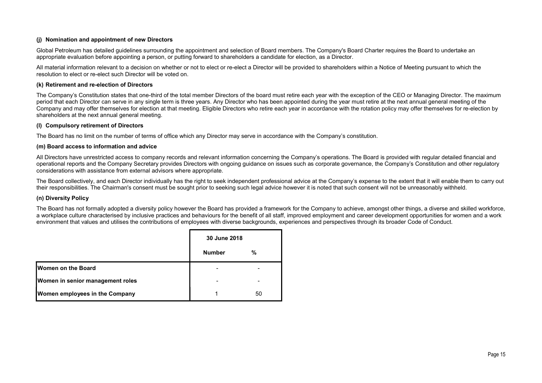# (j) Nomination and appointment of new Directors

Global Petroleum has detailed guidelines surrounding the appointment and selection of Board members. The Company's Board Charter requires the Board to undertake an appropriate evaluation before appointing a person, or putting forward to shareholders a candidate for election, as a Director.

All material information relevant to a decision on whether or not to elect or re-elect a Director will be provided to shareholders within a Notice of Meeting pursuant to which the resolution to elect or re-elect such Director will be voted on.

#### (k) Retirement and re-election of Directors

The Company's Constitution states that one-third of the total member Directors of the board must retire each year with the exception of the CEO or Managing Director. The maximum period that each Director can serve in any single term is three years. Any Director who has been appointed during the year must retire at the next annual general meeting of the Company and may offer themselves for election at that meeting. Eligible Directors who retire each year in accordance with the rotation policy may offer themselves for re-election by shareholders at the next annual general meeting.

# (l) Compulsory retirement of Directors

The Board has no limit on the number of terms of office which any Director may serve in accordance with the Company's constitution.

#### (m) Board access to information and advice

All Directors have unrestricted access to company records and relevant information concerning the Company's operations. The Board is provided with regular detailed financial and operational reports and the Company Secretary provides Directors with ongoing guidance on issues such as corporate governance, the Company's Constitution and other regulatory considerations with assistance from external advisors where appropriate.

The Board collectively, and each Director individually has the right to seek independent professional advice at the Company's expense to the extent that it will enable them to carry out their responsibilities. The Chairman's consent must be sought prior to seeking such legal advice however it is noted that such consent will not be unreasonably withheld.

# (n) Diversity Policy

The Board has not formally adopted a diversity policy however the Board has provided a framework for the Company to achieve, amongst other things, a diverse and skilled workforce, a workplace culture characterised by inclusive practices and behaviours for the benefit of all staff, improved employment and career development opportunities for women and a work environment that values and utilises the contributions of employees with diverse backgrounds, experiences and perspectives through its broader Code of Conduct.

|                                  | 30 June 2018  |    |
|----------------------------------|---------------|----|
|                                  | <b>Number</b> | %  |
| <b>IWomen on the Board</b>       | -             |    |
| Women in senior management roles |               |    |
| Women employees in the Company   |               | 50 |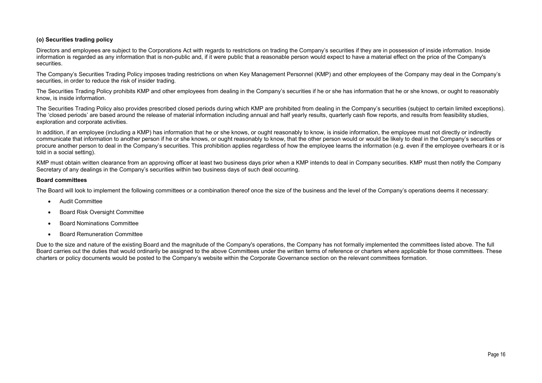# (o) Securities trading policy

Directors and employees are subject to the Corporations Act with regards to restrictions on trading the Company's securities if they are in possession of inside information. Inside information is regarded as any information that is non-public and, if it were public that a reasonable person would expect to have a material effect on the price of the Company's securities.

The Company's Securities Trading Policy imposes trading restrictions on when Key Management Personnel (KMP) and other employees of the Company may deal in the Company's securities, in order to reduce the risk of insider trading.

The Securities Trading Policy prohibits KMP and other employees from dealing in the Company's securities if he or she has information that he or she knows, or ought to reasonably know, is inside information.

The Securities Trading Policy also provides prescribed closed periods during which KMP are prohibited from dealing in the Company's securities (subject to certain limited exceptions). The 'closed periods' are based around the release of material information including annual and half yearly results, quarterly cash flow reports, and results from feasibility studies, exploration and corporate activities.

In addition, if an employee (including a KMP) has information that he or she knows, or ought reasonably to know, is inside information, the employee must not directly or indirectly communicate that information to another person if he or she knows, or ought reasonably to know, that the other person would or would be likely to deal in the Company's securities or procure another person to deal in the Company's securities. This prohibition applies regardless of how the employee learns the information (e.g. even if the employee overhears it or is told in a social setting).

KMP must obtain written clearance from an approving officer at least two business days prior when a KMP intends to deal in Company securities. KMP must then notify the Company Secretary of any dealings in the Company's securities within two business days of such deal occurring.

#### Board committees

The Board will look to implement the following committees or a combination thereof once the size of the business and the level of the Company's operations deems it necessary:

- Audit Committee
- Board Risk Oversight Committee
- Board Nominations Committee
- Board Remuneration Committee

Due to the size and nature of the existing Board and the magnitude of the Company's operations, the Company has not formally implemented the committees listed above. The full Board carries out the duties that would ordinarily be assigned to the above Committees under the written terms of reference or charters where applicable for those committees. These charters or policy documents would be posted to the Company's website within the Corporate Governance section on the relevant committees formation.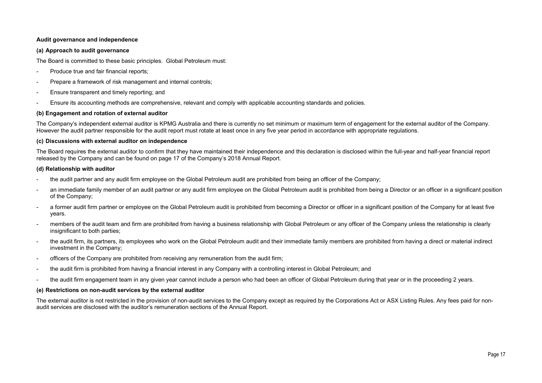# Audit governance and independence

#### (a) Approach to audit governance

The Board is committed to these basic principles. Global Petroleum must:

- Produce true and fair financial reports;
- Prepare a framework of risk management and internal controls;
- Ensure transparent and timely reporting; and
- Ensure its accounting methods are comprehensive, relevant and comply with applicable accounting standards and policies.

#### (b) Engagement and rotation of external auditor

The Company's independent external auditor is KPMG Australia and there is currently no set minimum or maximum term of engagement for the external auditor of the Company. However the audit partner responsible for the audit report must rotate at least once in any five year period in accordance with appropriate regulations.

#### (c) Discussions with external auditor on independence

The Board requires the external auditor to confirm that they have maintained their independence and this declaration is disclosed within the full-year and half-year financial report released by the Company and can be found on page 17 of the Company's 2018 Annual Report.

#### (d) Relationship with auditor

- the audit partner and any audit firm employee on the Global Petroleum audit are prohibited from being an officer of the Company;
- an immediate family member of an audit partner or any audit firm employee on the Global Petroleum audit is prohibited from being a Director or an officer in a significant position of the Company;
- a former audit firm partner or employee on the Global Petroleum audit is prohibited from becoming a Director or officer in a significant position of the Company for at least five years.
- members of the audit team and firm are prohibited from having a business relationship with Global Petroleum or any officer of the Company unless the relationship is clearly insignificant to both parties;
- the audit firm, its partners, its employees who work on the Global Petroleum audit and their immediate family members are prohibited from having a direct or material indirect investment in the Company;
- officers of the Company are prohibited from receiving any remuneration from the audit firm;
- the audit firm is prohibited from having a financial interest in any Company with a controlling interest in Global Petroleum; and
- the audit firm engagement team in any given year cannot include a person who had been an officer of Global Petroleum during that year or in the proceeding 2 years.

# (e) Restrictions on non-audit services by the external auditor

The external auditor is not restricted in the provision of non-audit services to the Company except as required by the Corporations Act or ASX Listing Rules. Any fees paid for nonaudit services are disclosed with the auditor's remuneration sections of the Annual Report.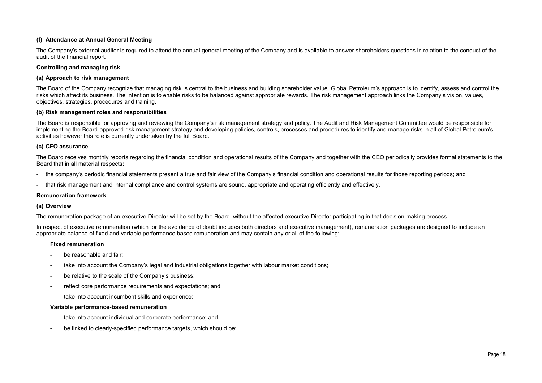# (f) Attendance at Annual General Meeting

The Company's external auditor is required to attend the annual general meeting of the Company and is available to answer shareholders questions in relation to the conduct of the audit of the financial report.

# Controlling and managing risk

# (a) Approach to risk management

The Board of the Company recognize that managing risk is central to the business and building shareholder value. Global Petroleum's approach is to identify, assess and control the risks which affect its business. The intention is to enable risks to be balanced against appropriate rewards. The risk management approach links the Company's vision, values, objectives, strategies, procedures and training.

# (b) Risk management roles and responsibilities

The Board is responsible for approving and reviewing the Company's risk management strategy and policy. The Audit and Risk Management Committee would be responsible for implementing the Board-approved risk management strategy and developing policies, controls, processes and procedures to identify and manage risks in all of Global Petroleum's activities however this role is currently undertaken by the full Board.

# (c) CFO assurance

The Board receives monthly reports regarding the financial condition and operational results of the Company and together with the CEO periodically provides formal statements to the Board that in all material respects:

- the company's periodic financial statements present a true and fair view of the Company's financial condition and operational results for those reporting periods; and
- that risk management and internal compliance and control systems are sound, appropriate and operating efficiently and effectively.

# Remuneration framework

# (a) Overview

The remuneration package of an executive Director will be set by the Board, without the affected executive Director participating in that decision-making process.

In respect of executive remuneration (which for the avoidance of doubt includes both directors and executive management), remuneration packages are designed to include an appropriate balance of fixed and variable performance based remuneration and may contain any or all of the following:

# Fixed remuneration

- be reasonable and fair;
- take into account the Company's legal and industrial obligations together with labour market conditions;
- be relative to the scale of the Company's business;
- reflect core performance requirements and expectations; and
- take into account incumbent skills and experience;

# Variable performance-based remuneration

- take into account individual and corporate performance; and
- be linked to clearly-specified performance targets, which should be: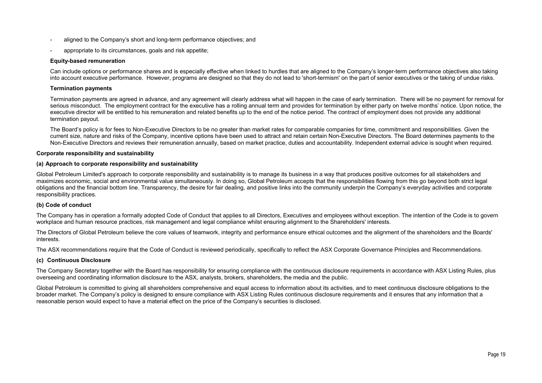- aligned to the Company's short and long-term performance objectives; and
- appropriate to its circumstances, goals and risk appetite;

#### Equity-based remuneration

Can include options or performance shares and is especially effective when linked to hurdles that are aligned to the Company's longer-term performance objectives also taking into account executive performance. However, programs are designed so that they do not lead to 'short-termism' on the part of senior executives or the taking of undue risks.

#### Termination payments

Termination payments are agreed in advance, and any agreement will clearly address what will happen in the case of early termination. There will be no payment for removal for serious misconduct. The employment contract for the executive has a rolling annual term and provides for termination by either party on twelve months' notice. Upon notice, the executive director will be entitled to his remuneration and related benefits up to the end of the notice period. The contract of employment does not provide any additional termination payout.

The Board's policy is for fees to Non-Executive Directors to be no greater than market rates for comparable companies for time, commitment and responsibilities. Given the current size, nature and risks of the Company, incentive options have been used to attract and retain certain Non-Executive Directors. The Board determines payments to the Non-Executive Directors and reviews their remuneration annually, based on market practice, duties and accountability. Independent external advice is sought when required.

#### Corporate responsibility and sustainability

#### (a) Approach to corporate responsibility and sustainability

Global Petroleum Limited's approach to corporate responsibility and sustainability is to manage its business in a way that produces positive outcomes for all stakeholders and maximizes economic, social and environmental value simultaneously. In doing so, Global Petroleum accepts that the responsibilities flowing from this go beyond both strict legal obligations and the financial bottom line. Transparency, the desire for fair dealing, and positive links into the community underpin the Company's everyday activities and corporate responsibility practices.

#### (b) Code of conduct

The Company has in operation a formally adopted Code of Conduct that applies to all Directors, Executives and employees without exception. The intention of the Code is to govern workplace and human resource practices, risk management and legal compliance whilst ensuring alignment to the Shareholders' interests.

The Directors of Global Petroleum believe the core values of teamwork, integrity and performance ensure ethical outcomes and the alignment of the shareholders and the Boards' interests.

The ASX recommendations require that the Code of Conduct is reviewed periodically, specifically to reflect the ASX Corporate Governance Principles and Recommendations.

#### (c) Continuous Disclosure

The Company Secretary together with the Board has responsibility for ensuring compliance with the continuous disclosure requirements in accordance with ASX Listing Rules, plus overseeing and coordinating information disclosure to the ASX, analysts, brokers, shareholders, the media and the public.

Global Petroleum is committed to giving all shareholders comprehensive and equal access to information about its activities, and to meet continuous disclosure obligations to the broader market. The Company's policy is designed to ensure compliance with ASX Listing Rules continuous disclosure requirements and it ensures that any information that a reasonable person would expect to have a material effect on the price of the Company's securities is disclosed.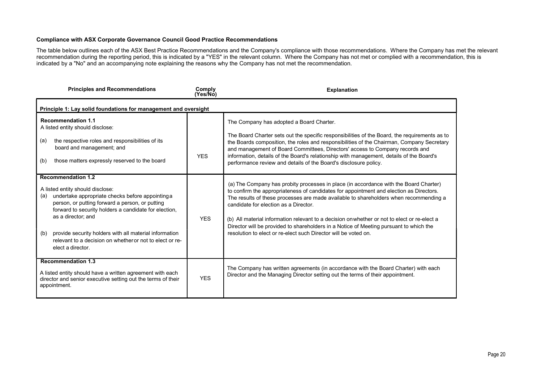# Compliance with ASX Corporate Governance Council Good Practice Recommendations

The table below outlines each of the ASX Best Practice Recommendations and the Company's compliance with those recommendations. Where the Company has met the relevant recommendation during the reporting period, this is indicated by a "YES" in the relevant column. Where the Company has not met or complied with a recommendation, this is indicated by a "No" and an accompanying note explaining the reasons why the Company has not met the recommendation.

| <b>Principles and Recommendations</b>                                                                                                                                                                                                                                                                                                                                                                        | Comply<br>(Yes/No) | <b>Explanation</b>                                                                                                                                                                                                                                                                                                                                                                                                                                                                                                                                                              |
|--------------------------------------------------------------------------------------------------------------------------------------------------------------------------------------------------------------------------------------------------------------------------------------------------------------------------------------------------------------------------------------------------------------|--------------------|---------------------------------------------------------------------------------------------------------------------------------------------------------------------------------------------------------------------------------------------------------------------------------------------------------------------------------------------------------------------------------------------------------------------------------------------------------------------------------------------------------------------------------------------------------------------------------|
| Principle 1: Lay solid foundations for management and oversight                                                                                                                                                                                                                                                                                                                                              |                    |                                                                                                                                                                                                                                                                                                                                                                                                                                                                                                                                                                                 |
| <b>Recommendation 1.1</b><br>A listed entity should disclose:<br>the respective roles and responsibilities of its<br>(a)<br>board and management; and<br>those matters expressly reserved to the board<br>(b)                                                                                                                                                                                                | <b>YFS</b>         | The Company has adopted a Board Charter.<br>The Board Charter sets out the specific responsibilities of the Board, the requirements as to<br>the Boards composition, the roles and responsibilities of the Chairman, Company Secretary<br>and management of Board Committees, Directors' access to Company records and<br>information, details of the Board's relationship with management, details of the Board's<br>performance review and details of the Board's disclosure policy.                                                                                          |
| <b>Recommendation 1.2</b><br>A listed entity should disclose:<br>undertake appropriate checks before appointing a<br>(a)<br>person, or putting forward a person, or putting<br>forward to security holders a candidate for election,<br>as a director; and<br>provide security holders with all material information<br>(b)<br>relevant to a decision on whether or not to elect or re-<br>elect a director. | <b>YES</b>         | (a) The Company has probity processes in place (in accordance with the Board Charter)<br>to confirm the appropriateness of candidates for appointment and election as Directors.<br>The results of these processes are made available to shareholders when recommending a<br>candidate for election as a Director.<br>(b) All material information relevant to a decision on whether or not to elect or re-elect a<br>Director will be provided to shareholders in a Notice of Meeting pursuant to which the<br>resolution to elect or re-elect such Director will be voted on. |
| <b>Recommendation 1.3</b><br>A listed entity should have a written agreement with each<br>director and senior executive setting out the terms of their<br>appointment.                                                                                                                                                                                                                                       | <b>YES</b>         | The Company has written agreements (in accordance with the Board Charter) with each<br>Director and the Managing Director setting out the terms of their appointment.                                                                                                                                                                                                                                                                                                                                                                                                           |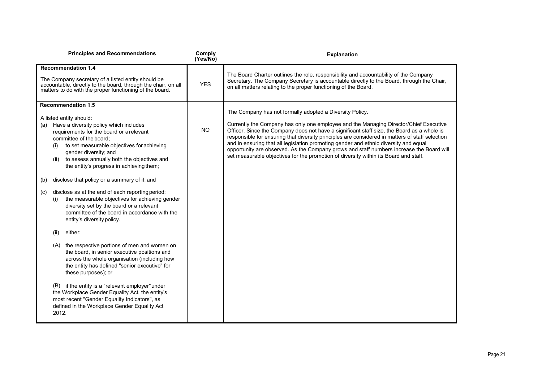| <b>Principles and Recommendations</b>                                                                                                                                                                                                                                                                | Comply<br>(Yes/No) | <b>Explanation</b>                                                                                                                                                                                                                                                                                                                                                                                                                                                                                                                                                 |
|------------------------------------------------------------------------------------------------------------------------------------------------------------------------------------------------------------------------------------------------------------------------------------------------------|--------------------|--------------------------------------------------------------------------------------------------------------------------------------------------------------------------------------------------------------------------------------------------------------------------------------------------------------------------------------------------------------------------------------------------------------------------------------------------------------------------------------------------------------------------------------------------------------------|
| <b>Recommendation 1.4</b>                                                                                                                                                                                                                                                                            |                    |                                                                                                                                                                                                                                                                                                                                                                                                                                                                                                                                                                    |
| The Company secretary of a listed entity should be<br>accountable, directly to the board, through the chair, on all<br>matters to do with the proper functioning of the board.                                                                                                                       | <b>YES</b>         | The Board Charter outlines the role, responsibility and accountability of the Company<br>Secretary. The Company Secretary is accountable directly to the Board, through the Chair,<br>on all matters relating to the proper functioning of the Board.                                                                                                                                                                                                                                                                                                              |
| <b>Recommendation 1.5</b>                                                                                                                                                                                                                                                                            |                    |                                                                                                                                                                                                                                                                                                                                                                                                                                                                                                                                                                    |
| A listed entity should:                                                                                                                                                                                                                                                                              |                    | The Company has not formally adopted a Diversity Policy.                                                                                                                                                                                                                                                                                                                                                                                                                                                                                                           |
| Have a diversity policy which includes<br>(a)<br>requirements for the board or a relevant<br>committee of the board:<br>to set measurable objectives for achieving<br>(i)<br>gender diversity; and<br>to assess annually both the objectives and<br>(ii)<br>the entity's progress in achieving them; | <b>NO</b>          | Currently the Company has only one employee and the Managing Director/Chief Executive<br>Officer. Since the Company does not have a significant staff size, the Board as a whole is<br>responsible for ensuring that diversity principles are considered in matters of staff selection<br>and in ensuring that all legislation promoting gender and ethnic diversity and equal<br>opportunity are observed. As the Company grows and staff numbers increase the Board will<br>set measurable objectives for the promotion of diversity within its Board and staff. |
| disclose that policy or a summary of it; and<br>(b)                                                                                                                                                                                                                                                  |                    |                                                                                                                                                                                                                                                                                                                                                                                                                                                                                                                                                                    |
| disclose as at the end of each reporting period:<br>(c)<br>the measurable objectives for achieving gender<br>(i)<br>diversity set by the board or a relevant<br>committee of the board in accordance with the<br>entity's diversity policy.                                                          |                    |                                                                                                                                                                                                                                                                                                                                                                                                                                                                                                                                                                    |
| either:<br>(ii)                                                                                                                                                                                                                                                                                      |                    |                                                                                                                                                                                                                                                                                                                                                                                                                                                                                                                                                                    |
| the respective portions of men and women on<br>(A)<br>the board, in senior executive positions and<br>across the whole organisation (including how<br>the entity has defined "senior executive" for<br>these purposes); or                                                                           |                    |                                                                                                                                                                                                                                                                                                                                                                                                                                                                                                                                                                    |
| (B) if the entity is a "relevant employer" under<br>the Workplace Gender Equality Act, the entity's<br>most recent "Gender Equality Indicators", as<br>defined in the Workplace Gender Equality Act<br>2012.                                                                                         |                    |                                                                                                                                                                                                                                                                                                                                                                                                                                                                                                                                                                    |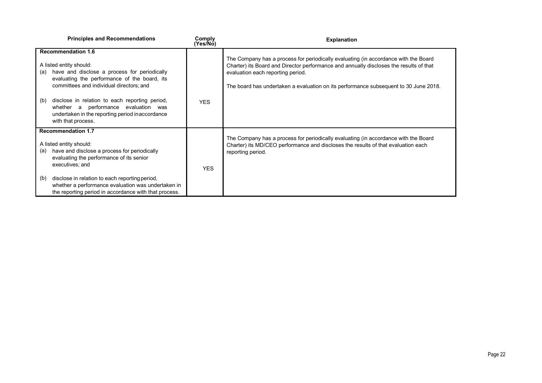|     | <b>Principles and Recommendations</b>                                                                                                                                                            | Comply<br>(Yes/No) | <b>Explanation</b>                                                                                                                                                                                                                                                                                         |
|-----|--------------------------------------------------------------------------------------------------------------------------------------------------------------------------------------------------|--------------------|------------------------------------------------------------------------------------------------------------------------------------------------------------------------------------------------------------------------------------------------------------------------------------------------------------|
| (a) | <b>Recommendation 1.6</b><br>A listed entity should:<br>have and disclose a process for periodically<br>evaluating the performance of the board, its<br>committees and individual directors; and |                    | The Company has a process for periodically evaluating (in accordance with the Board<br>Charter) its Board and Director performance and annually discloses the results of that<br>evaluation each reporting period.<br>The board has undertaken a evaluation on its performance subsequent to 30 June 2018. |
| (b) | disclose in relation to each reporting period,<br>whether a performance evaluation was<br>undertaken in the reporting period inaccordance<br>with that process.                                  | <b>YES</b>         |                                                                                                                                                                                                                                                                                                            |
|     | <b>Recommendation 1.7</b>                                                                                                                                                                        |                    | The Company has a process for periodically evaluating (in accordance with the Board                                                                                                                                                                                                                        |
|     | A listed entity should:                                                                                                                                                                          |                    | Charter) its MD/CEO performance and discloses the results of that evaluation each                                                                                                                                                                                                                          |
| (a) | have and disclose a process for periodically<br>evaluating the performance of its senior<br>executives; and                                                                                      | <b>YES</b>         | reporting period.                                                                                                                                                                                                                                                                                          |
| (b) | disclose in relation to each reporting period,<br>whether a performance evaluation was undertaken in<br>the reporting period in accordance with that process.                                    |                    |                                                                                                                                                                                                                                                                                                            |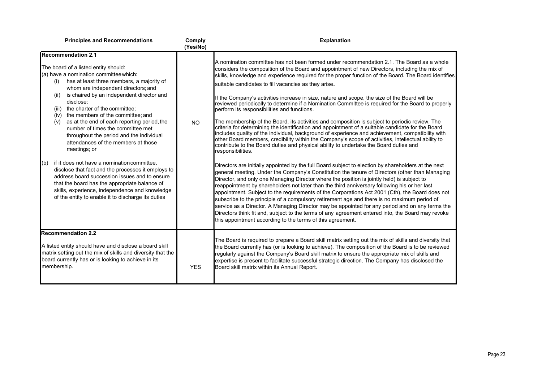| <b>Principles and Recommendations</b>                                                                                                                                                                                                                                                                                                                                                                                                                                                                                                                                                                                                                                                                                                                                                                                                                                                                    | Comply<br>(Yes/No) | <b>Explanation</b>                                                                                                                                                                                                                                                                                                                                                                                                                                                                                                                                                                                                                                                                                                                                                                                                                                                                                                                                                                                                                                                                                                                                                                                                                                                                                                                                                                                                                                                                                                                                                                                                                                                                                                                                                                                                                                                                                                                                                                                                               |
|----------------------------------------------------------------------------------------------------------------------------------------------------------------------------------------------------------------------------------------------------------------------------------------------------------------------------------------------------------------------------------------------------------------------------------------------------------------------------------------------------------------------------------------------------------------------------------------------------------------------------------------------------------------------------------------------------------------------------------------------------------------------------------------------------------------------------------------------------------------------------------------------------------|--------------------|----------------------------------------------------------------------------------------------------------------------------------------------------------------------------------------------------------------------------------------------------------------------------------------------------------------------------------------------------------------------------------------------------------------------------------------------------------------------------------------------------------------------------------------------------------------------------------------------------------------------------------------------------------------------------------------------------------------------------------------------------------------------------------------------------------------------------------------------------------------------------------------------------------------------------------------------------------------------------------------------------------------------------------------------------------------------------------------------------------------------------------------------------------------------------------------------------------------------------------------------------------------------------------------------------------------------------------------------------------------------------------------------------------------------------------------------------------------------------------------------------------------------------------------------------------------------------------------------------------------------------------------------------------------------------------------------------------------------------------------------------------------------------------------------------------------------------------------------------------------------------------------------------------------------------------------------------------------------------------------------------------------------------------|
| <b>Recommendation 2.1</b><br>The board of a listed entity should:<br>(a) have a nomination committee which:<br>has at least three members, a majority of<br>(i)<br>whom are independent directors; and<br>is chaired by an independent director and<br>(ii)<br>disclose:<br>the charter of the committee;<br>(iii)<br>the members of the committee; and<br>(iv)<br>as at the end of each reporting period, the<br>(v)<br>number of times the committee met<br>throughout the period and the individual<br>attendances of the members at those<br>meetings; or<br>if it does not have a nomination committee.<br>$\mathsf{I}(\mathsf{b})$<br>disclose that fact and the processes it employs to<br>address board succession issues and to ensure<br>that the board has the appropriate balance of<br>skills, experience, independence and knowledge<br>of the entity to enable it to discharge its duties | <b>NO</b>          | $A$ nomination committee has not been formed under recommendation 2.1. The Board as a whole<br>considers the composition of the Board and appointment of new Directors, including the mix of<br>skills, knowledge and experience required for the proper function of the Board. The Board identifies<br>suitable candidates to fill vacancies as they arise.<br>If the Company's activities increase in size, nature and scope, the size of the Board will be<br>reviewed periodically to determine if a Nomination Committee is required for the Board to properly<br>perform its responsibilities and functions.<br>The membership of the Board, its activities and composition is subject to periodic review. The<br>criteria for determining the identification and appointment of a suitable candidate for the Board<br>includes quality of the individual, background of experience and achievement, compatibility with<br>other Board members, credibility within the Company's scope of activities, intellectual ability to<br>contribute to the Board duties and physical ability to undertake the Board duties and<br>responsibilities.<br>Directors are initially appointed by the full Board subject to election by shareholders at the next<br>general meeting. Under the Company's Constitution the tenure of Directors (other than Managing<br>Director, and only one Managing Director where the position is jointly held) is subject to<br>reappointment by shareholders not later than the third anniversary following his or her last<br>appointment. Subject to the requirements of the Corporations Act 2001 (Cth), the Board does not<br>subscribe to the principle of a compulsory retirement age and there is no maximum period of<br>service as a Director. A Managing Director may be appointed for any period and on any terms the<br>Directors think fit and, subject to the terms of any agreement entered into, the Board may revoke<br>this appointment according to the terms of this agreement. |
| <b>Recommendation 2.2</b><br>A listed entity should have and disclose a board skill<br>matrix setting out the mix of skills and diversity that the<br>board currently has or is looking to achieve in its<br>membership.                                                                                                                                                                                                                                                                                                                                                                                                                                                                                                                                                                                                                                                                                 | <b>YES</b>         | The Board is required to prepare a Board skill matrix setting out the mix of skills and diversity that<br>the Board currently has (or is looking to achieve). The composition of the Board is to be reviewed<br>regularly against the Company's Board skill matrix to ensure the appropriate mix of skills and<br>expertise is present to facilitate successful strategic direction. The Company has disclosed the<br>Board skill matrix within its Annual Report.                                                                                                                                                                                                                                                                                                                                                                                                                                                                                                                                                                                                                                                                                                                                                                                                                                                                                                                                                                                                                                                                                                                                                                                                                                                                                                                                                                                                                                                                                                                                                               |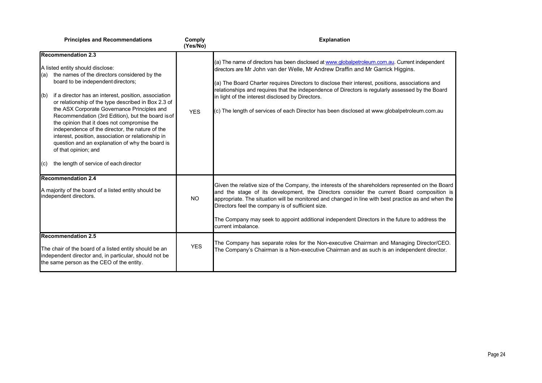|                                                                                                             | <b>Principles and Recommendations</b>                                                                                                                                                                                                                                                                                                                                                                                                                                                                                                                                                                                                               | Comply<br>(Yes/No) | <b>Explanation</b>                                                                                                                                                                                                                                                                                                                                                                                                                                                                                                                            |
|-------------------------------------------------------------------------------------------------------------|-----------------------------------------------------------------------------------------------------------------------------------------------------------------------------------------------------------------------------------------------------------------------------------------------------------------------------------------------------------------------------------------------------------------------------------------------------------------------------------------------------------------------------------------------------------------------------------------------------------------------------------------------------|--------------------|-----------------------------------------------------------------------------------------------------------------------------------------------------------------------------------------------------------------------------------------------------------------------------------------------------------------------------------------------------------------------------------------------------------------------------------------------------------------------------------------------------------------------------------------------|
| l(a)<br>(b)<br>$\mathsf{I}(\mathsf{c})$                                                                     | <b>Recommendation 2.3</b><br>A listed entity should disclose:<br>the names of the directors considered by the<br>board to be independent directors;<br>if a director has an interest, position, association<br>or relationship of the type described in Box 2.3 of<br>the ASX Corporate Governance Principles and<br>Recommendation (3rd Edition), but the board is of<br>the opinion that it does not compromise the<br>independence of the director, the nature of the<br>interest, position, association or relationship in<br>question and an explanation of why the board is<br>of that opinion; and<br>the length of service of each director | <b>YES</b>         | (a) The name of directors has been disclosed at www.globalpetroleum.com.au. Current independent<br>directors are Mr John van der Welle, Mr Andrew Draffin and Mr Garrick Higgins.<br>(a) The Board Charter requires Directors to disclose their interest, positions, associations and<br>relationships and requires that the independence of Directors is regularly assessed by the Board<br>in light of the interest disclosed by Directors.<br>(c) The length of services of each Director has been disclosed at www.globalpetroleum.com.au |
| <b>Recommendation 2.4</b><br>A majority of the board of a listed entity should be<br>independent directors. |                                                                                                                                                                                                                                                                                                                                                                                                                                                                                                                                                                                                                                                     | <b>NO</b>          | Given the relative size of the Company, the interests of the shareholders represented on the Board<br>and the stage of its development, the Directors consider the current Board composition is<br>appropriate. The situation will be monitored and changed in line with best practice as and when the<br>Directors feel the company is of sufficient size.<br>The Company may seek to appoint additional independent Directors in the future to address the<br>current imbalance.                                                            |
|                                                                                                             | <b>Recommendation 2.5</b><br>The chair of the board of a listed entity should be an<br>independent director and, in particular, should not be<br>the same person as the CEO of the entity.                                                                                                                                                                                                                                                                                                                                                                                                                                                          | <b>YES</b>         | The Company has separate roles for the Non-executive Chairman and Managing Director/CEO.<br>The Company's Chairman is a Non-executive Chairman and as such is an independent director.                                                                                                                                                                                                                                                                                                                                                        |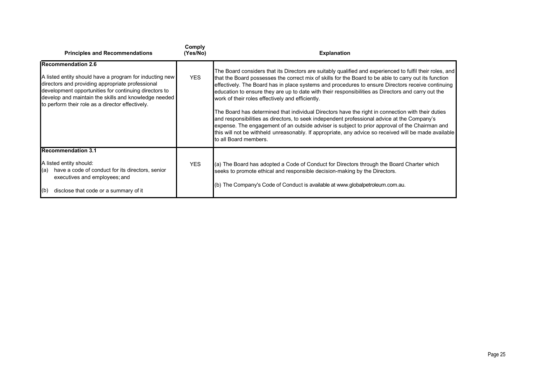| <b>Principles and Recommendations</b>                                                                                                                                                                                                                                                                          | Comply<br>(Yes/No) | <b>Explanation</b>                                                                                                                                                                                                                                                                                                                                                                                                                                                                                                                                                                                                                                                                                                                                                                                                                                                                                                        |
|----------------------------------------------------------------------------------------------------------------------------------------------------------------------------------------------------------------------------------------------------------------------------------------------------------------|--------------------|---------------------------------------------------------------------------------------------------------------------------------------------------------------------------------------------------------------------------------------------------------------------------------------------------------------------------------------------------------------------------------------------------------------------------------------------------------------------------------------------------------------------------------------------------------------------------------------------------------------------------------------------------------------------------------------------------------------------------------------------------------------------------------------------------------------------------------------------------------------------------------------------------------------------------|
| <b>IRecommendation 2.6</b><br>A listed entity should have a program for inducting new<br>directors and providing appropriate professional<br>development opportunities for continuing directors to<br>develop and maintain the skills and knowledge needed<br>to perform their role as a director effectively. | <b>YES</b>         | The Board considers that its Directors are suitably qualified and experienced to fulfil their roles, and<br>that the Board possesses the correct mix of skills for the Board to be able to carry out its function<br>effectively. The Board has in place systems and procedures to ensure Directors receive continuing<br>education to ensure they are up to date with their responsibilities as Directors and carry out the<br>work of their roles effectively and efficiently.<br>The Board has determined that individual Directors have the right in connection with their duties<br>and responsibilities as directors, to seek independent professional advice at the Company's<br>expense. The engagement of an outside adviser is subject to prior approval of the Chairman and<br>this will not be withheld unreasonably. If appropriate, any advice so received will be made available<br>Ito all Board members. |
| <b>Recommendation 3.1</b><br>A listed entity should:<br>have a code of conduct for its directors, senior<br>(a)<br>executives and employees; and<br>(b)<br>disclose that code or a summary of it                                                                                                               | <b>YES</b>         | (a) The Board has adopted a Code of Conduct for Directors through the Board Charter which<br>seeks to promote ethical and responsible decision-making by the Directors.<br>(b) The Company's Code of Conduct is available at www.globalpetroleum.com.au.                                                                                                                                                                                                                                                                                                                                                                                                                                                                                                                                                                                                                                                                  |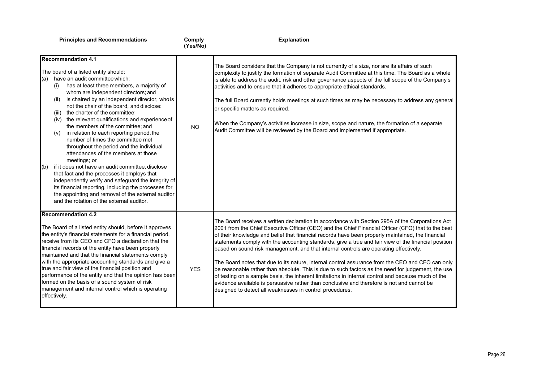Comply<br>(Yes/No)

| <b>Recommendation 4.1</b><br>The board of a listed entity should:<br>have an audit committee which:<br>(a)<br>has at least three members, a majority of<br>(i)<br>whom are independent directors; and<br>is chaired by an independent director, who is<br>(ii)<br>not the chair of the board, and disclose:<br>the charter of the committee:<br>(iii)<br>(iv) the relevant qualifications and experience of<br>the members of the committee; and<br>in relation to each reporting period, the<br>(v)<br>number of times the committee met<br>throughout the period and the individual<br>attendances of the members at those<br>meetings; or<br>if it does not have an audit committee, disclose<br>$\vert$ (b)<br>that fact and the processes it employs that<br>independently verify and safeguard the integrity of<br>its financial reporting, including the processes for<br>the appointing and removal of the external auditor<br>and the rotation of the external auditor. | <b>NO</b>  | The Board considers that the Company is not currently of a size, nor are its affairs of such<br>complexity to justify the formation of separate Audit Committee at this time. The Board as a whole<br>is able to address the audit, risk and other governance aspects of the full scope of the Company's<br>activities and to ensure that it adheres to appropriate ethical standards.<br>The full Board currently holds meetings at such times as may be necessary to address any general<br>or specific matters as required.<br>When the Company's activities increase in size, scope and nature, the formation of a separate<br>Audit Committee will be reviewed by the Board and implemented if appropriate.                                                                                                                                                                                                                                                                       |
|----------------------------------------------------------------------------------------------------------------------------------------------------------------------------------------------------------------------------------------------------------------------------------------------------------------------------------------------------------------------------------------------------------------------------------------------------------------------------------------------------------------------------------------------------------------------------------------------------------------------------------------------------------------------------------------------------------------------------------------------------------------------------------------------------------------------------------------------------------------------------------------------------------------------------------------------------------------------------------|------------|----------------------------------------------------------------------------------------------------------------------------------------------------------------------------------------------------------------------------------------------------------------------------------------------------------------------------------------------------------------------------------------------------------------------------------------------------------------------------------------------------------------------------------------------------------------------------------------------------------------------------------------------------------------------------------------------------------------------------------------------------------------------------------------------------------------------------------------------------------------------------------------------------------------------------------------------------------------------------------------|
| <b>Recommendation 4.2</b><br>The Board of a listed entity should, before it approves<br>the entity's financial statements for a financial period,<br>receive from its CEO and CFO a declaration that the<br>financial records of the entity have been properly<br>maintained and that the financial statements comply<br>with the appropriate accounting standards and give a<br>true and fair view of the financial position and<br>performance of the entity and that the opinion has been<br>formed on the basis of a sound system of risk<br>management and internal control which is operating<br>effectively.                                                                                                                                                                                                                                                                                                                                                              | <b>YES</b> | The Board receives a written declaration in accordance with Section 295A of the Corporations Act<br>2001 from the Chief Executive Officer (CEO) and the Chief Financial Officer (CFO) that to the best<br>of their knowledge and belief that financial records have been properly maintained, the financial<br>statements comply with the accounting standards, give a true and fair view of the financial position<br>based on sound risk management, and that internal controls are operating effectively.<br>The Board notes that due to its nature, internal control assurance from the CEO and CFO can only<br>be reasonable rather than absolute. This is due to such factors as the need for judgement, the use<br>of testing on a sample basis, the inherent limitations in internal control and because much of the<br>evidence available is persuasive rather than conclusive and therefore is not and cannot be<br>designed to detect all weaknesses in control procedures. |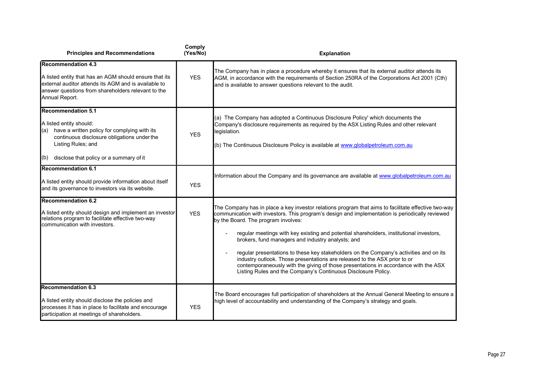| <b>Principles and Recommendations</b>                                                                                                                                                                                              | Comply<br>(Yes/No) | <b>Explanation</b>                                                                                                                                                                                                                                                                                                                                                                                                                                                                                                                                                                                                                                                                                                           |
|------------------------------------------------------------------------------------------------------------------------------------------------------------------------------------------------------------------------------------|--------------------|------------------------------------------------------------------------------------------------------------------------------------------------------------------------------------------------------------------------------------------------------------------------------------------------------------------------------------------------------------------------------------------------------------------------------------------------------------------------------------------------------------------------------------------------------------------------------------------------------------------------------------------------------------------------------------------------------------------------------|
| <b>Recommendation 4.3</b><br>A listed entity that has an AGM should ensure that its<br>external auditor attends its AGM and is available to<br>answer questions from shareholders relevant to the<br>Annual Report.                | <b>YES</b>         | The Company has in place a procedure whereby it ensures that its external auditor attends its<br>AGM, in accordance with the requirements of Section 250RA of the Corporations Act 2001 (Cth)<br>and is available to answer questions relevant to the audit.                                                                                                                                                                                                                                                                                                                                                                                                                                                                 |
| <b>Recommendation 5.1</b><br>A listed entity should:<br>have a written policy for complying with its<br>(a)<br>continuous disclosure obligations under the<br>Listing Rules; and<br>disclose that policy or a summary of it<br>(b) | <b>YES</b>         | (a) The Company has adopted a Continuous Disclosure Policy' which documents the<br>Company's disclosure requirements as required by the ASX Listing Rules and other relevant<br>legislation.<br>(b) The Continuous Disclosure Policy is available at www.globalpetroleum.com.au                                                                                                                                                                                                                                                                                                                                                                                                                                              |
| <b>Recommendation 6.1</b><br>A listed entity should provide information about itself<br>and its governance to investors via its website.                                                                                           | <b>YES</b>         | Information about the Company and its governance are available at www.globalpetroleum.com.au                                                                                                                                                                                                                                                                                                                                                                                                                                                                                                                                                                                                                                 |
| <b>Recommendation 6.2</b><br>A listed entity should design and implement an investor<br>relations program to facilitate effective two-way<br>communication with investors.                                                         | <b>YES</b>         | The Company has in place a key investor relations program that aims to facilitate effective two-way<br>communication with investors. This program's design and implementation is periodically reviewed<br>by the Board. The program involves:<br>regular meetings with key existing and potential shareholders, institutional investors,<br>brokers, fund managers and industry analysts; and<br>regular presentations to these key stakeholders on the Company's activities and on its<br>industry outlook. Those presentations are released to the ASX prior to or<br>contemporaneously with the giving of those presentations in accordance with the ASX<br>Listing Rules and the Company's Continuous Disclosure Policy. |
| <b>Recommendation 6.3</b><br>A listed entity should disclose the policies and<br>processes it has in place to facilitate and encourage<br>participation at meetings of shareholders.                                               | <b>YES</b>         | The Board encourages full participation of shareholders at the Annual General Meeting to ensure a<br>high level of accountability and understanding of the Company's strategy and goals.                                                                                                                                                                                                                                                                                                                                                                                                                                                                                                                                     |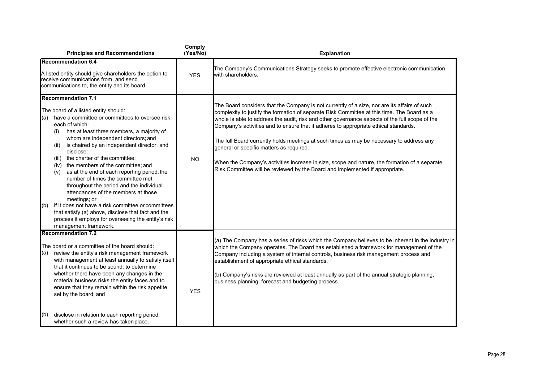| <b>Principles and Recommendations</b>                                                                                                                                                                                                                                                                                                                                                                                                                                                                                                                                                                                                                                                                                                                                                            | Comply<br>(Yes/No) | <b>Explanation</b>                                                                                                                                                                                                                                                                                                                                                                                                                                                                                                                                                                                                                                                                                             |
|--------------------------------------------------------------------------------------------------------------------------------------------------------------------------------------------------------------------------------------------------------------------------------------------------------------------------------------------------------------------------------------------------------------------------------------------------------------------------------------------------------------------------------------------------------------------------------------------------------------------------------------------------------------------------------------------------------------------------------------------------------------------------------------------------|--------------------|----------------------------------------------------------------------------------------------------------------------------------------------------------------------------------------------------------------------------------------------------------------------------------------------------------------------------------------------------------------------------------------------------------------------------------------------------------------------------------------------------------------------------------------------------------------------------------------------------------------------------------------------------------------------------------------------------------------|
| <b>Recommendation 6.4</b><br>A listed entity should give shareholders the option to<br>receive communications from, and send<br>communications to, the entity and its board.                                                                                                                                                                                                                                                                                                                                                                                                                                                                                                                                                                                                                     | <b>YES</b>         | The Company's Communications Strategy seeks to promote effective electronic communication<br>lwith shareholders.                                                                                                                                                                                                                                                                                                                                                                                                                                                                                                                                                                                               |
| <b>Recommendation 7.1</b><br>The board of a listed entity should:<br>have a committee or committees to oversee risk,<br>(a)<br>each of which:<br>has at least three members, a majority of<br>(i)<br>whom are independent directors; and<br>is chaired by an independent director, and<br>(ii)<br>disclose:<br>the charter of the committee;<br>(iii)<br>(iv) the members of the committee; and<br>as at the end of each reporting period, the<br>(v)<br>number of times the committee met<br>throughout the period and the individual<br>attendances of the members at those<br>meetings; or<br>if it does not have a risk committee or committees<br>(b)<br>that satisfy (a) above, disclose that fact and the<br>process it employs for overseeing the entity's risk<br>management framework. | <b>NO</b>          | The Board considers that the Company is not currently of a size, nor are its affairs of such<br>complexity to justify the formation of separate Risk Committee at this time. The Board as a<br>whole is able to address the audit, risk and other governance aspects of the full scope of the<br>Company's activities and to ensure that it adheres to appropriate ethical standards.<br>The full Board currently holds meetings at such times as may be necessary to address any<br>general or specific matters as required.<br>When the Company's activities increase in size, scope and nature, the formation of a separate<br>Risk Committee will be reviewed by the Board and implemented if appropriate. |
| <b>Recommendation 7.2</b><br>The board or a committee of the board should:<br>review the entity's risk management framework<br>(a)<br>with management at least annually to satisfy itself<br>that it continues to be sound, to determine<br>whether there have been any changes in the<br>material business risks the entity faces and to<br>ensure that they remain within the risk appetite<br>set by the board; and<br>disclose in relation to each reporting period,<br>(b)<br>whether such a review has taken place.                                                                                                                                                                                                                                                                        | <b>YES</b>         | (a) The Company has a series of risks which the Company believes to be inherent in the industry in<br>which the Company operates. The Board has established a framework for management of the<br>Company including a system of internal controls, business risk management process and<br>establishment of appropriate ethical standards.<br>(b) Company's risks are reviewed at least annually as part of the annual strategic planning,<br>business planning, forecast and budgeting process.                                                                                                                                                                                                                |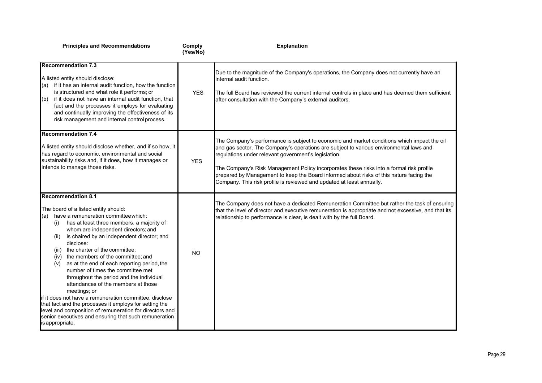| <b>Principles and Recommendations</b>                                                                                                                                                                                                                                                                                                                                                                                                                                                                                                                                                                                                                                                                                                                                                                                       | Comply<br>(Yes/No) | <b>Explanation</b>                                                                                                                                                                                                                                                                                                                                                                                                                                                                                            |
|-----------------------------------------------------------------------------------------------------------------------------------------------------------------------------------------------------------------------------------------------------------------------------------------------------------------------------------------------------------------------------------------------------------------------------------------------------------------------------------------------------------------------------------------------------------------------------------------------------------------------------------------------------------------------------------------------------------------------------------------------------------------------------------------------------------------------------|--------------------|---------------------------------------------------------------------------------------------------------------------------------------------------------------------------------------------------------------------------------------------------------------------------------------------------------------------------------------------------------------------------------------------------------------------------------------------------------------------------------------------------------------|
| <b>Recommendation 7.3</b><br>A listed entity should disclose:<br>if it has an internal audit function, how the function<br>l(a)<br>is structured and what role it performs; or<br>if it does not have an internal audit function, that<br>(b)<br>fact and the processes it employs for evaluating<br>and continually improving the effectiveness of its<br>risk management and internal control process.                                                                                                                                                                                                                                                                                                                                                                                                                    | <b>YES</b>         | Due to the magnitude of the Company's operations, the Company does not currently have an<br>linternal audit function.<br>The full Board has reviewed the current internal controls in place and has deemed them sufficient<br>after consultation with the Company's external auditors.                                                                                                                                                                                                                        |
| <b>Recommendation 7.4</b><br>A listed entity should disclose whether, and if so how, it<br>has regard to economic, environmental and social<br>sustainability risks and, if it does, how it manages or<br>intends to manage those risks.                                                                                                                                                                                                                                                                                                                                                                                                                                                                                                                                                                                    | <b>YES</b>         | The Company's performance is subject to economic and market conditions which impact the oil<br>and gas sector. The Company's operations are subject to various environmental laws and<br>regulations under relevant government's legislation.<br>The Company's Risk Management Policy incorporates these risks into a formal risk profile<br>prepared by Management to keep the Board informed about risks of this nature facing the<br>Company. This risk profile is reviewed and updated at least annually. |
| <b>Recommendation 8.1</b><br>The board of a listed entity should:<br>have a remuneration committee which:<br>(a)<br>has at least three members, a majority of<br>(i)<br>whom are independent directors; and<br>is chaired by an independent director; and<br>(II)<br>disclose:<br>the charter of the committee;<br>(iii)<br>(iv) the members of the committee; and<br>as at the end of each reporting period, the<br>(v)<br>number of times the committee met<br>throughout the period and the individual<br>attendances of the members at those<br>meetings; or<br>if it does not have a remuneration committee, disclose<br>that fact and the processes it employs for setting the<br>level and composition of remuneration for directors and<br>senior executives and ensuring that such remuneration<br>is appropriate. | <b>NO</b>          | The Company does not have a dedicated Remuneration Committee but rather the task of ensuring<br>that the level of director and executive remuneration is appropriate and not excessive, and that its<br>relationship to performance is clear, is dealt with by the full Board.                                                                                                                                                                                                                                |